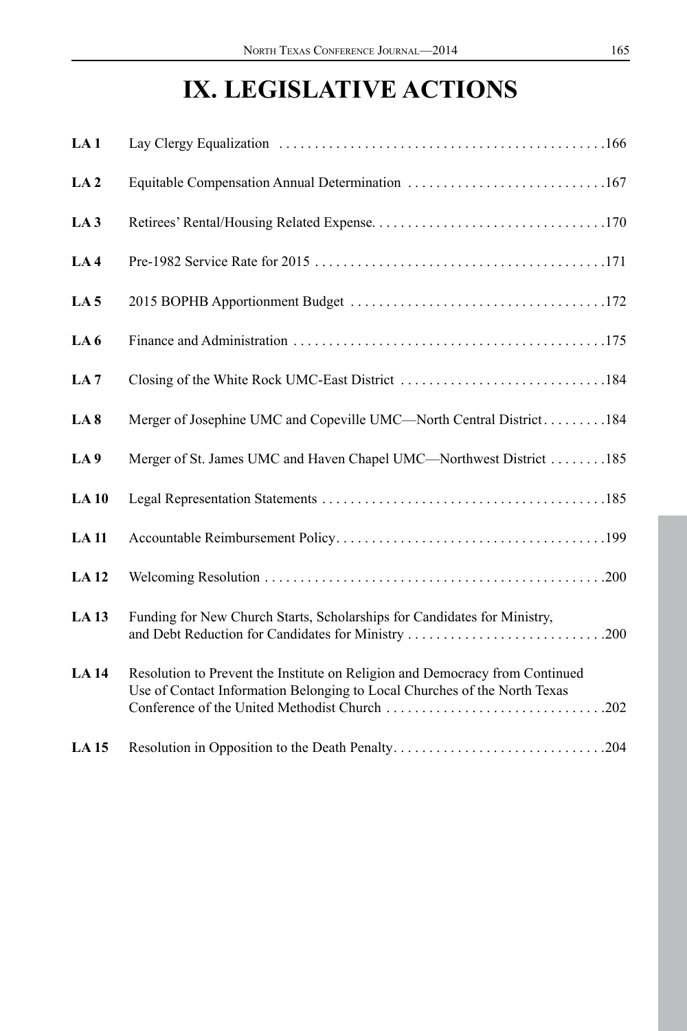# **IX. LEGISLATIVE ACTIONS**

| LA1              |                                                                                                                                                           |
|------------------|-----------------------------------------------------------------------------------------------------------------------------------------------------------|
| LA <sub>2</sub>  | Equitable Compensation Annual Determination 167                                                                                                           |
| LA <sub>3</sub>  |                                                                                                                                                           |
| LA4              |                                                                                                                                                           |
| LA <sub>5</sub>  |                                                                                                                                                           |
| LA <sub>6</sub>  |                                                                                                                                                           |
| LA <sub>7</sub>  |                                                                                                                                                           |
| LA <sub>8</sub>  | Merger of Josephine UMC and Copeville UMC—North Central District184                                                                                       |
| LA <sub>9</sub>  | Merger of St. James UMC and Haven Chapel UMC—Northwest District 185                                                                                       |
| LA10             |                                                                                                                                                           |
| <b>LA11</b>      |                                                                                                                                                           |
| <b>LA12</b>      |                                                                                                                                                           |
| LA <sub>13</sub> | Funding for New Church Starts, Scholarships for Candidates for Ministry,                                                                                  |
| <b>LA14</b>      | Resolution to Prevent the Institute on Religion and Democracy from Continued<br>Use of Contact Information Belonging to Local Churches of the North Texas |
| LA <sub>15</sub> |                                                                                                                                                           |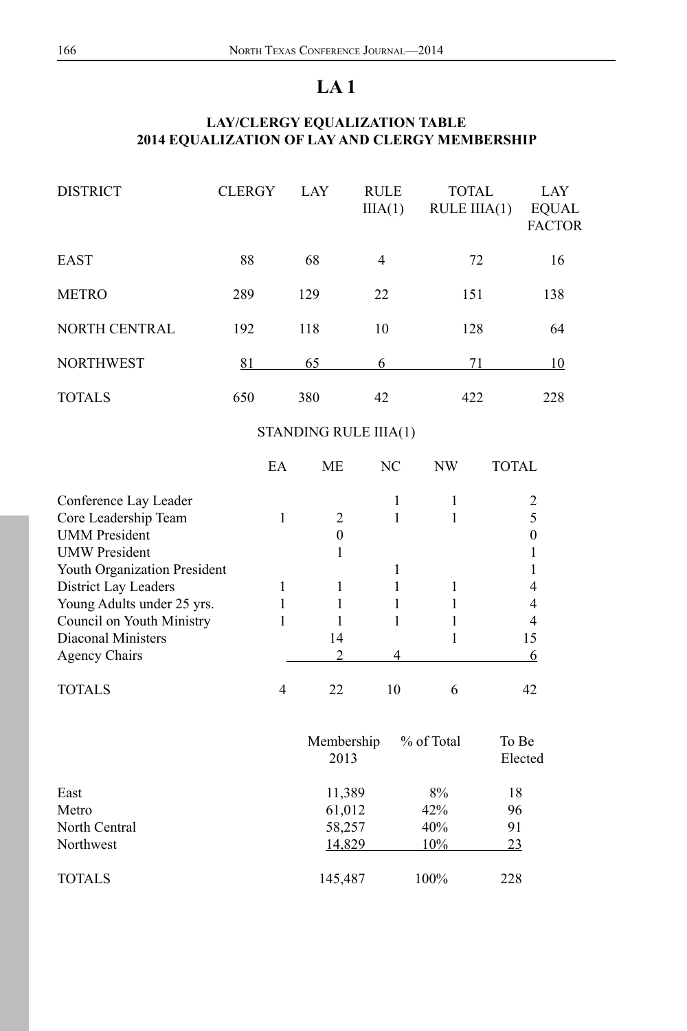# **LAY/CLERGY EQUALIZATION TABLE 2014 EQUALIZATION OF LAY AND CLERGY MEMBERSHIP**

| <b>DISTRICT</b>      | <b>CLERGY</b> | LAY | <b>RULE</b><br>IIIA(1) | <b>TOTAL</b><br>$RULE$ $IIIA(1)$ | LAY<br><b>EQUAL</b><br><b>FACTOR</b> |
|----------------------|---------------|-----|------------------------|----------------------------------|--------------------------------------|
| EAST                 | 88            | 68  | $\overline{4}$         | 72                               | 16                                   |
| <b>METRO</b>         | 289           | 129 | 22                     | 151                              | 138                                  |
| <b>NORTH CENTRAL</b> | 192           | 118 | 10                     | 128                              | 64                                   |
| <b>NORTHWEST</b>     | 81            | 65  | 6                      | 71                               | 10                                   |
| <b>TOTALS</b>        | 650           | 380 | 42                     | 422                              | 228                                  |

# STANDING RULE IIIA(1)

|                                     | EA           | МE                 | NC           | NW         | TOTAL            |
|-------------------------------------|--------------|--------------------|--------------|------------|------------------|
| Conference Lay Leader               |              |                    | 1            | 1          | 2                |
| Core Leadership Team                | $\mathbf{1}$ | $\overline{2}$     | $\mathbf{1}$ | 1          | 5                |
| <b>UMM</b> President                |              | $\theta$           |              |            | $\theta$         |
| <b>UMW</b> President                |              | 1                  |              |            |                  |
| <b>Youth Organization President</b> |              |                    | 1            |            |                  |
| District Lay Leaders                | 1            | 1                  | 1            | 1          | 4                |
| Young Adults under 25 yrs.          | 1            | 1                  | 1            | 1          | 4                |
| Council on Youth Ministry           | 1            |                    | $\mathbf{1}$ |            | 4                |
| Diaconal Ministers                  |              | 14                 |              | 1          | 15               |
| <b>Agency Chairs</b>                |              | $\overline{c}$     | 4            |            | 6                |
| <b>TOTALS</b>                       | 4            | 22                 | 10           | 6          | 42               |
|                                     |              | Membership<br>2013 |              | % of Total | To Be<br>Elected |
| East                                |              | 11,389             |              | 8%         | 18               |
| Metro                               |              | 61,012             |              | 42%        | 96               |
| North Central                       |              | 58,257             |              | 40%        | 91               |
| Northwest                           |              | 14,829             |              | 10%        | 23               |
| TOTALS                              |              | 145,487            |              | 100%       | 228              |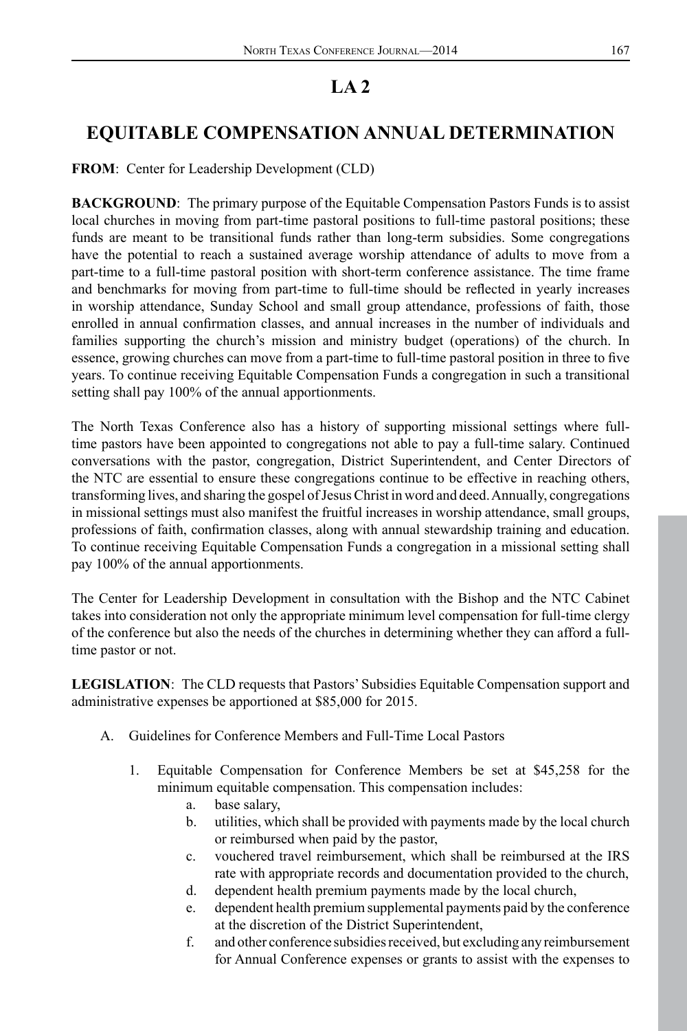# **EQUITABLE COMPENSATION ANNUAL DETERMINATION**

**FROM**: Center for Leadership Development (CLD)

**BACKGROUND**: The primary purpose of the Equitable Compensation Pastors Funds is to assist local churches in moving from part-time pastoral positions to full-time pastoral positions; these funds are meant to be transitional funds rather than long-term subsidies. Some congregations have the potential to reach a sustained average worship attendance of adults to move from a part-time to a full-time pastoral position with short-term conference assistance. The time frame and benchmarks for moving from part-time to full-time should be reflected in yearly increases in worship attendance, Sunday School and small group attendance, professions of faith, those enrolled in annual confirmation classes, and annual increases in the number of individuals and families supporting the church's mission and ministry budget (operations) of the church. In essence, growing churches can move from a part-time to full-time pastoral position in three to five years. To continue receiving Equitable Compensation Funds a congregation in such a transitional setting shall pay 100% of the annual apportionments.

The North Texas Conference also has a history of supporting missional settings where fulltime pastors have been appointed to congregations not able to pay a full-time salary. Continued conversations with the pastor, congregation, District Superintendent, and Center Directors of the NTC are essential to ensure these congregations continue to be effective in reaching others, transforming lives, and sharing the gospel of Jesus Christ in word and deed. Annually, congregations in missional settings must also manifest the fruitful increases in worship attendance, small groups, professions of faith, confirmation classes, along with annual stewardship training and education. To continue receiving Equitable Compensation Funds a congregation in a missional setting shall pay 100% of the annual apportionments.

The Center for Leadership Development in consultation with the Bishop and the NTC Cabinet takes into consideration not only the appropriate minimum level compensation for full-time clergy of the conference but also the needs of the churches in determining whether they can afford a fulltime pastor or not.

**LEGISLATION**: The CLD requests that Pastors' Subsidies Equitable Compensation support and administrative expenses be apportioned at \$85,000 for 2015.

- A. Guidelines for Conference Members and Full-Time Local Pastors
	- 1. Equitable Compensation for Conference Members be set at \$45,258 for the minimum equitable compensation. This compensation includes:
		- a. base salary,
		- b. utilities, which shall be provided with payments made by the local church or reimbursed when paid by the pastor,
		- c. vouchered travel reimbursement, which shall be reimbursed at the IRS rate with appropriate records and documentation provided to the church,
		- d. dependent health premium payments made by the local church,
		- e. dependent health premium supplemental payments paid by the conference at the discretion of the District Superintendent,
		- f. and other conference subsidies received, but excluding any reimbursement for Annual Conference expenses or grants to assist with the expenses to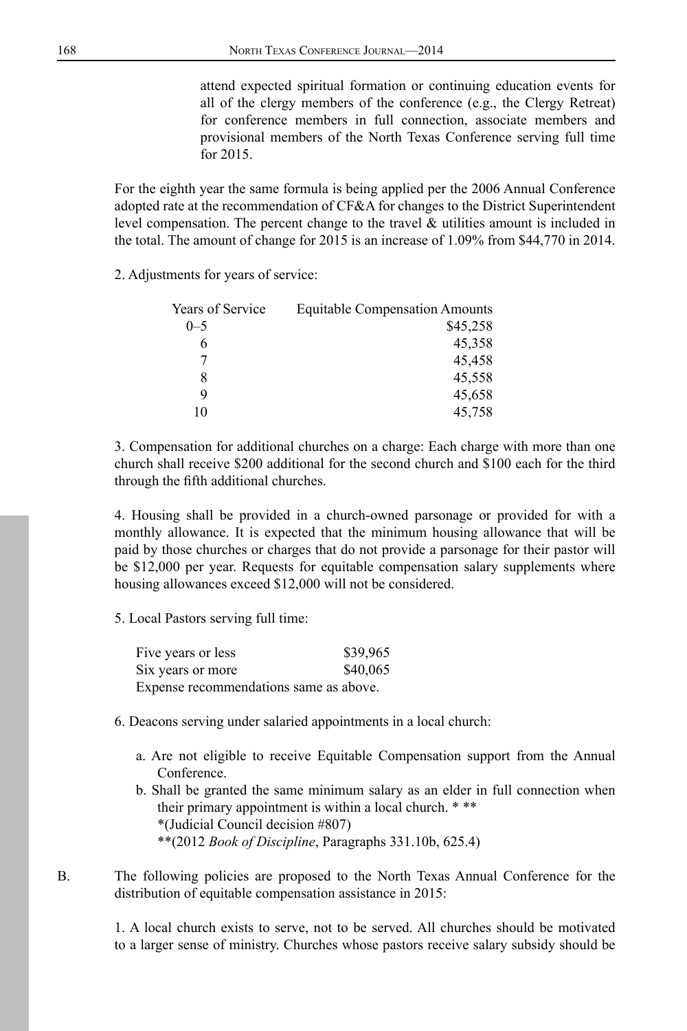attend expected spiritual formation or continuing education events for all of the clergy members of the conference (e.g., the Clergy Retreat) for conference members in full connection, associate members and provisional members of the North Texas Conference serving full time for 2015.

For the eighth year the same formula is being applied per the 2006 Annual Conference adopted rate at the recommendation of CF&A for changes to the District Superintendent level compensation. The percent change to the travel & utilities amount is included in the total. The amount of change for 2015 is an increase of 1.09% from \$44,770 in 2014.

2. Adjustments for years of service:

| Years of Service | <b>Equitable Compensation Amounts</b> |
|------------------|---------------------------------------|
| $0 - 5$          | \$45,258                              |
| 6                | 45,358                                |
|                  | 45.458                                |
| 8                | 45,558                                |
| Q                | 45,658                                |
| 10               | 45,758                                |

3. Compensation for additional churches on a charge: Each charge with more than one church shall receive \$200 additional for the second church and \$100 each for the third through the fifth additional churches.

4. Housing shall be provided in a church-owned parsonage or provided for with a monthly allowance. It is expected that the minimum housing allowance that will be paid by those churches or charges that do not provide a parsonage for their pastor will be \$12,000 per year. Requests for equitable compensation salary supplements where housing allowances exceed \$12,000 will not be considered.

5. Local Pastors serving full time:

| Five years or less                     | \$39,965 |
|----------------------------------------|----------|
| Six years or more                      | \$40,065 |
| Expense recommendations same as above. |          |

- 6. Deacons serving under salaried appointments in a local church:
	- a. Are not eligible to receive Equitable Compensation support from the Annual Conference.
	- b. Shall be granted the same minimum salary as an elder in full connection when their primary appointment is within a local church. \* \*\* \*(Judicial Council decision #807) \*\*(2012 *Book of Discipline*, Paragraphs 331.10b, 625.4)

B. The following policies are proposed to the North Texas Annual Conference for the distribution of equitable compensation assistance in 2015:

> 1. A local church exists to serve, not to be served. All churches should be motivated to a larger sense of ministry. Churches whose pastors receive salary subsidy should be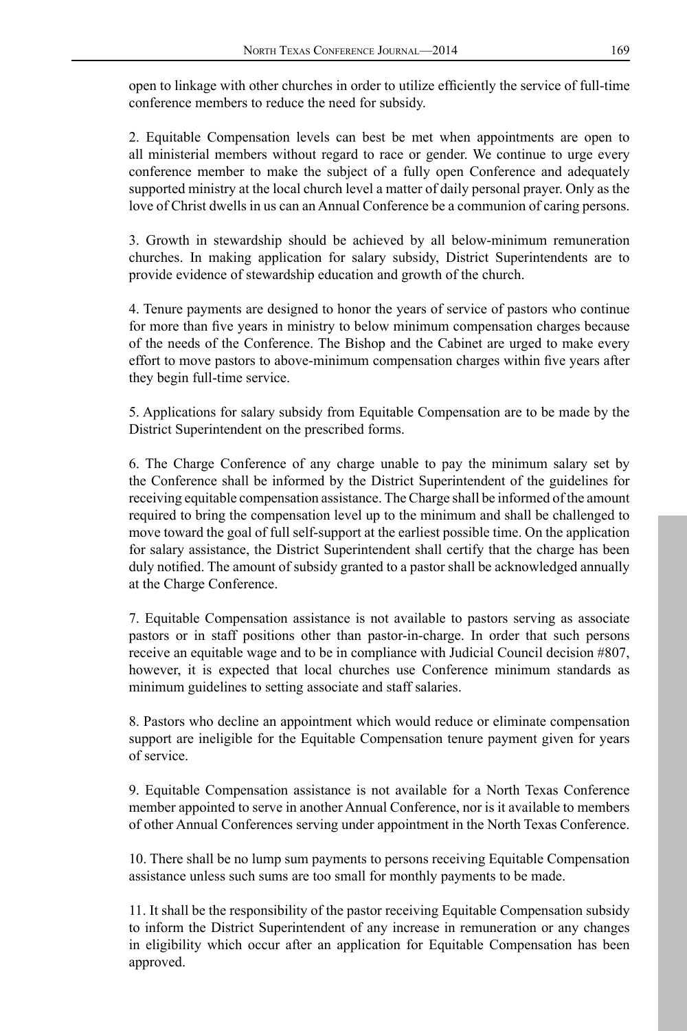open to linkage with other churches in order to utilize efficiently the service of full-time conference members to reduce the need for subsidy.

2. Equitable Compensation levels can best be met when appointments are open to all ministerial members without regard to race or gender. We continue to urge every conference member to make the subject of a fully open Conference and adequately supported ministry at the local church level a matter of daily personal prayer. Only as the love of Christ dwells in us can an Annual Conference be a communion of caring persons.

3. Growth in stewardship should be achieved by all below-minimum remuneration churches. In making application for salary subsidy, District Superintendents are to provide evidence of stewardship education and growth of the church.

4. Tenure payments are designed to honor the years of service of pastors who continue for more than five years in ministry to below minimum compensation charges because of the needs of the Conference. The Bishop and the Cabinet are urged to make every effort to move pastors to above-minimum compensation charges within five years after they begin full-time service.

5. Applications for salary subsidy from Equitable Compensation are to be made by the District Superintendent on the prescribed forms.

6. The Charge Conference of any charge unable to pay the minimum salary set by the Conference shall be informed by the District Superintendent of the guidelines for receiving equitable compensation assistance. The Charge shall be informed of the amount required to bring the compensation level up to the minimum and shall be challenged to move toward the goal of full self-support at the earliest possible time. On the application for salary assistance, the District Superintendent shall certify that the charge has been duly notified. The amount of subsidy granted to a pastor shall be acknowledged annually at the Charge Conference.

7. Equitable Compensation assistance is not available to pastors serving as associate pastors or in staff positions other than pastor-in-charge. In order that such persons receive an equitable wage and to be in compliance with Judicial Council decision #807, however, it is expected that local churches use Conference minimum standards as minimum guidelines to setting associate and staff salaries.

8. Pastors who decline an appointment which would reduce or eliminate compensation support are ineligible for the Equitable Compensation tenure payment given for years of service.

9. Equitable Compensation assistance is not available for a North Texas Conference member appointed to serve in another Annual Conference, nor is it available to members of other Annual Conferences serving under appointment in the North Texas Conference.

10. There shall be no lump sum payments to persons receiving Equitable Compensation assistance unless such sums are too small for monthly payments to be made.

11. It shall be the responsibility of the pastor receiving Equitable Compensation subsidy to inform the District Superintendent of any increase in remuneration or any changes in eligibility which occur after an application for Equitable Compensation has been approved.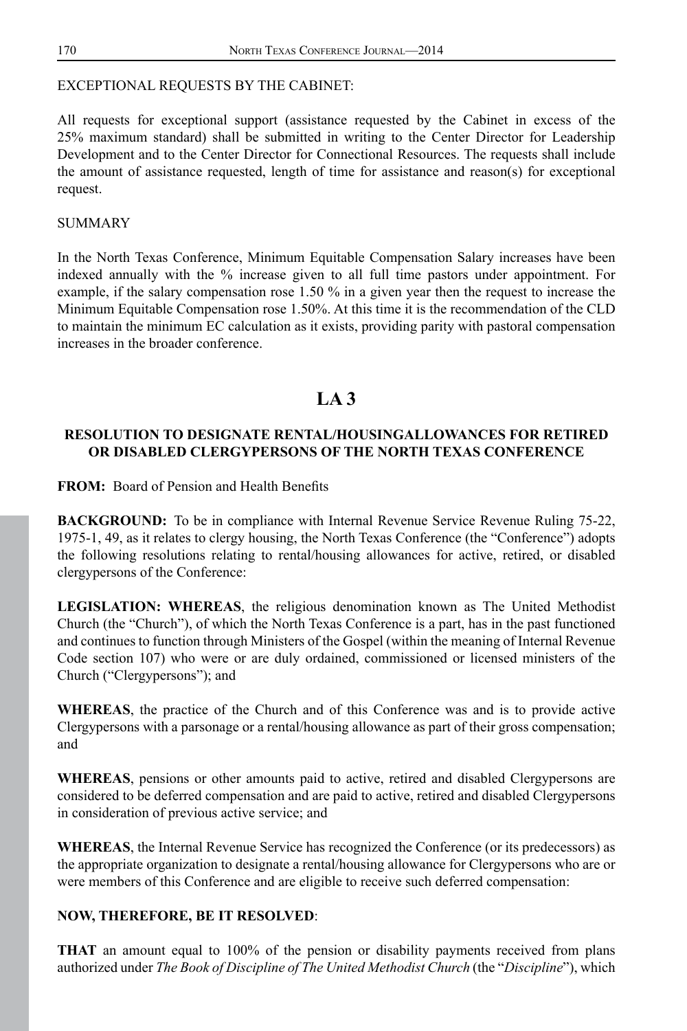## EXCEPTIONAL REQUESTS BY THE CABINET:

All requests for exceptional support (assistance requested by the Cabinet in excess of the 25% maximum standard) shall be submitted in writing to the Center Director for Leadership Development and to the Center Director for Connectional Resources. The requests shall include the amount of assistance requested, length of time for assistance and reason(s) for exceptional request.

#### SUMMARY

In the North Texas Conference, Minimum Equitable Compensation Salary increases have been indexed annually with the % increase given to all full time pastors under appointment. For example, if the salary compensation rose 1.50 % in a given year then the request to increase the Minimum Equitable Compensation rose 1.50%. At this time it is the recommendation of the CLD to maintain the minimum EC calculation as it exists, providing parity with pastoral compensation increases in the broader conference.

# **LA 3**

## **RESOLUTION TO DESIGNATE RENTAL/HOUSINGALLOWANCES FOR RETIRED OR DISABLED CLERGYPERSONS OF THE NORTH TEXAS CONFERENCE**

**FROM:** Board of Pension and Health Benefits

**BACKGROUND:** To be in compliance with Internal Revenue Service Revenue Ruling 75-22, 1975-1, 49, as it relates to clergy housing, the North Texas Conference (the "Conference") adopts the following resolutions relating to rental/housing allowances for active, retired, or disabled clergypersons of the Conference:

**LEGISLATION: WHEREAS**, the religious denomination known as The United Methodist Church (the "Church"), of which the North Texas Conference is a part, has in the past functioned and continues to function through Ministers of the Gospel (within the meaning of Internal Revenue Code section 107) who were or are duly ordained, commissioned or licensed ministers of the Church ("Clergypersons"); and

**WHEREAS**, the practice of the Church and of this Conference was and is to provide active Clergypersons with a parsonage or a rental/housing allowance as part of their gross compensation; and

**WHEREAS**, pensions or other amounts paid to active, retired and disabled Clergypersons are considered to be deferred compensation and are paid to active, retired and disabled Clergypersons in consideration of previous active service; and

**WHEREAS**, the Internal Revenue Service has recognized the Conference (or its predecessors) as the appropriate organization to designate a rental/housing allowance for Clergypersons who are or were members of this Conference and are eligible to receive such deferred compensation:

#### **NOW, THEREFORE, BE IT RESOLVED**:

**THAT** an amount equal to 100% of the pension or disability payments received from plans authorized under *The Book of Discipline of The United Methodist Church* (the "*Discipline*"), which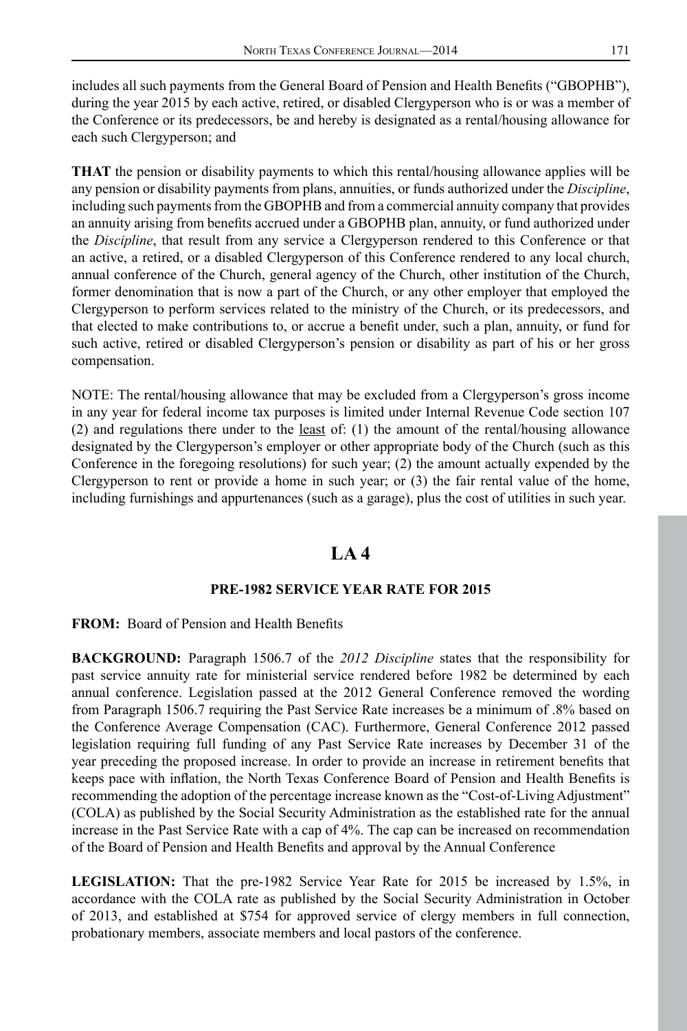includes all such payments from the General Board of Pension and Health Benefits ("GBOPHB"), during the year 2015 by each active, retired, or disabled Clergyperson who is or was a member of the Conference or its predecessors, be and hereby is designated as a rental/housing allowance for each such Clergyperson; and

**THAT** the pension or disability payments to which this rental/housing allowance applies will be any pension or disability payments from plans, annuities, or funds authorized under the *Discipline*, including such payments from the GBOPHB and from a commercial annuity company that provides an annuity arising from benefits accrued under a GBOPHB plan, annuity, or fund authorized under the *Discipline*, that result from any service a Clergyperson rendered to this Conference or that an active, a retired, or a disabled Clergyperson of this Conference rendered to any local church, annual conference of the Church, general agency of the Church, other institution of the Church, former denomination that is now a part of the Church, or any other employer that employed the Clergyperson to perform services related to the ministry of the Church, or its predecessors, and that elected to make contributions to, or accrue a benefit under, such a plan, annuity, or fund for such active, retired or disabled Clergyperson's pension or disability as part of his or her gross compensation.

NOTE: The rental/housing allowance that may be excluded from a Clergyperson's gross income in any year for federal income tax purposes is limited under Internal Revenue Code section 107 (2) and regulations there under to the  $least$  of: (1) the amount of the rental/housing allowance</u> designated by the Clergyperson's employer or other appropriate body of the Church (such as this Conference in the foregoing resolutions) for such year; (2) the amount actually expended by the Clergyperson to rent or provide a home in such year; or  $(3)$  the fair rental value of the home, including furnishings and appurtenances (such as a garage), plus the cost of utilities in such year.

# **LA 4**

## **PRE-1982 SERVICE YEAR RATE FOR 2015**

**FROM:** Board of Pension and Health Benefits

**BACKGROUND:** Paragraph 1506.7 of the *2012 Discipline* states that the responsibility for past service annuity rate for ministerial service rendered before 1982 be determined by each annual conference. Legislation passed at the 2012 General Conference removed the wording from Paragraph 1506.7 requiring the Past Service Rate increases be a minimum of .8% based on the Conference Average Compensation (CAC). Furthermore, General Conference 2012 passed legislation requiring full funding of any Past Service Rate increases by December 31 of the year preceding the proposed increase. In order to provide an increase in retirement benefits that keeps pace with inflation, the North Texas Conference Board of Pension and Health Benefits is recommending the adoption of the percentage increase known as the "Cost-of-Living Adjustment" (COLA) as published by the Social Security Administration as the established rate for the annual increase in the Past Service Rate with a cap of 4%. The cap can be increased on recommendation of the Board of Pension and Health Benefits and approval by the Annual Conference

**LEGISLATION:** That the pre-1982 Service Year Rate for 2015 be increased by 1.5%, in accordance with the COLA rate as published by the Social Security Administration in October of 2013, and established at \$754 for approved service of clergy members in full connection, probationary members, associate members and local pastors of the conference.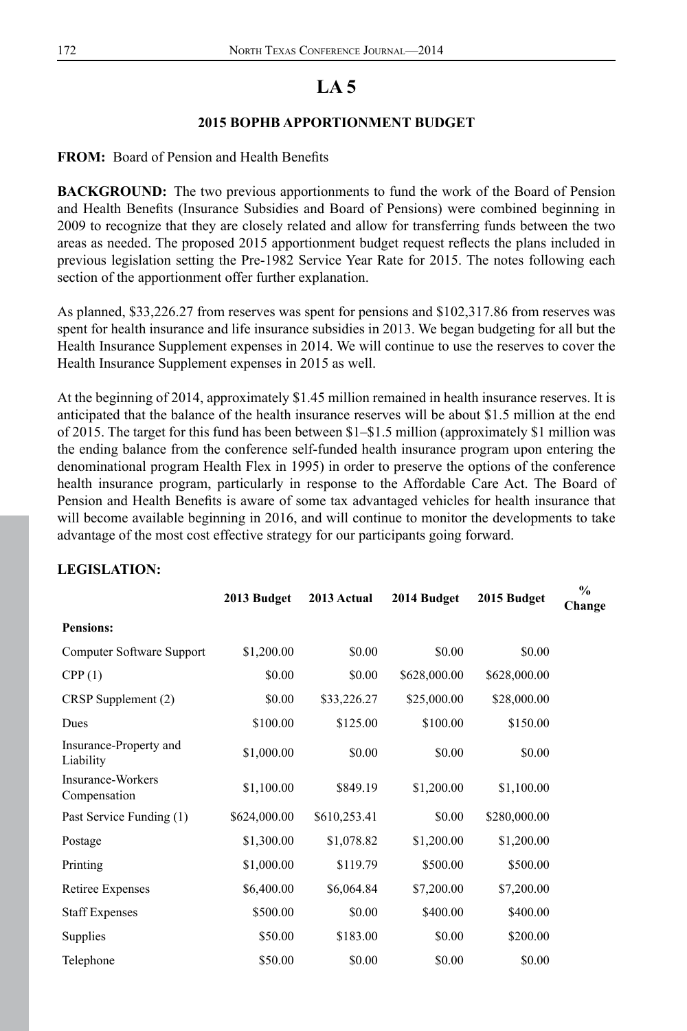#### **2015 BOPHB APPORTIONMENT BUDGET**

**FROM:** Board of Pension and Health Benefits

**BACKGROUND:** The two previous apportionments to fund the work of the Board of Pension and Health Benefits (Insurance Subsidies and Board of Pensions) were combined beginning in 2009 to recognize that they are closely related and allow for transferring funds between the two areas as needed. The proposed 2015 apportionment budget request reflects the plans included in previous legislation setting the Pre-1982 Service Year Rate for 2015. The notes following each section of the apportionment offer further explanation.

As planned, \$33,226.27 from reserves was spent for pensions and \$102,317.86 from reserves was spent for health insurance and life insurance subsidies in 2013. We began budgeting for all but the Health Insurance Supplement expenses in 2014. We will continue to use the reserves to cover the Health Insurance Supplement expenses in 2015 as well.

At the beginning of 2014, approximately \$1.45 million remained in health insurance reserves. It is anticipated that the balance of the health insurance reserves will be about \$1.5 million at the end of 2015. The target for this fund has been between \$1–\$1.5 million (approximately \$1 million was the ending balance from the conference self-funded health insurance program upon entering the denominational program Health Flex in 1995) in order to preserve the options of the conference health insurance program, particularly in response to the Affordable Care Act. The Board of Pension and Health Benefits is aware of some tax advantaged vehicles for health insurance that will become available beginning in 2016, and will continue to monitor the developments to take advantage of the most cost effective strategy for our participants going forward.

#### **LEGISLATION:**

|                                     | 2013 Budget  | 2013 Actual  | 2014 Budget  | 2015 Budget  | $\frac{0}{0}$<br>Change |
|-------------------------------------|--------------|--------------|--------------|--------------|-------------------------|
| <b>Pensions:</b>                    |              |              |              |              |                         |
| Computer Software Support           | \$1,200.00   | \$0.00       | \$0.00       | \$0.00       |                         |
| CPP(1)                              | \$0.00       | \$0.00       | \$628,000.00 | \$628,000.00 |                         |
| CRSP Supplement (2)                 | \$0.00       | \$33,226.27  | \$25,000.00  | \$28,000.00  |                         |
| Dues                                | \$100.00     | \$125.00     | \$100.00     | \$150.00     |                         |
| Insurance-Property and<br>Liability | \$1,000.00   | \$0.00       | \$0.00       | \$0.00       |                         |
| Insurance-Workers<br>Compensation   | \$1,100.00   | \$849.19     | \$1,200.00   | \$1,100.00   |                         |
| Past Service Funding (1)            | \$624,000.00 | \$610,253.41 | \$0.00       | \$280,000.00 |                         |
| Postage                             | \$1,300.00   | \$1,078.82   | \$1,200.00   | \$1,200.00   |                         |
| Printing                            | \$1,000.00   | \$119.79     | \$500.00     | \$500.00     |                         |
| Retiree Expenses                    | \$6,400.00   | \$6,064.84   | \$7,200.00   | \$7,200.00   |                         |
| <b>Staff Expenses</b>               | \$500.00     | \$0.00       | \$400.00     | \$400.00     |                         |
| <b>Supplies</b>                     | \$50.00      | \$183.00     | \$0.00       | \$200.00     |                         |
| Telephone                           | \$50.00      | \$0.00       | \$0.00       | \$0.00       |                         |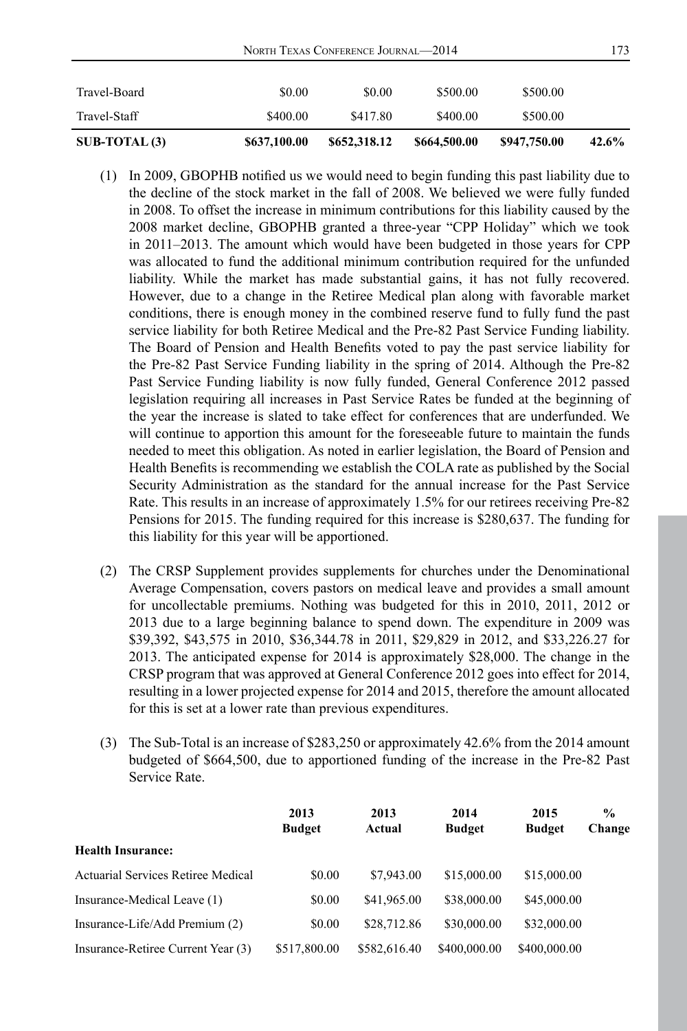| $SUB-TOTAL(3)$ | \$637,100.00 | \$652,318.12 | \$664,500.00 | \$947,750.00 | 42.6% |
|----------------|--------------|--------------|--------------|--------------|-------|
| Travel-Staff   | \$400.00     | \$417.80     | \$400.00     | \$500.00     |       |
| Travel-Board   | \$0.00       | \$0.00       | \$500.00     | \$500.00     |       |

- (1) In 2009, GBOPHB notified us we would need to begin funding this past liability due to the decline of the stock market in the fall of 2008. We believed we were fully funded in 2008. To offset the increase in minimum contributions for this liability caused by the 2008 market decline, GBOPHB granted a three-year "CPP Holiday" which we took in 2011–2013. The amount which would have been budgeted in those years for CPP was allocated to fund the additional minimum contribution required for the unfunded liability. While the market has made substantial gains, it has not fully recovered. However, due to a change in the Retiree Medical plan along with favorable market conditions, there is enough money in the combined reserve fund to fully fund the past service liability for both Retiree Medical and the Pre-82 Past Service Funding liability. The Board of Pension and Health Benefits voted to pay the past service liability for the Pre-82 Past Service Funding liability in the spring of 2014. Although the Pre-82 Past Service Funding liability is now fully funded, General Conference 2012 passed legislation requiring all increases in Past Service Rates be funded at the beginning of the year the increase is slated to take effect for conferences that are underfunded. We will continue to apportion this amount for the foreseeable future to maintain the funds needed to meet this obligation. As noted in earlier legislation, the Board of Pension and Health Benefits is recommending we establish the COLA rate as published by the Social Security Administration as the standard for the annual increase for the Past Service Rate. This results in an increase of approximately 1.5% for our retirees receiving Pre-82 Pensions for 2015. The funding required for this increase is \$280,637. The funding for this liability for this year will be apportioned.
- (2) The CRSP Supplement provides supplements for churches under the Denominational Average Compensation, covers pastors on medical leave and provides a small amount for uncollectable premiums. Nothing was budgeted for this in 2010, 2011, 2012 or 2013 due to a large beginning balance to spend down. The expenditure in 2009 was \$39,392, \$43,575 in 2010, \$36,344.78 in 2011, \$29,829 in 2012, and \$33,226.27 for 2013. The anticipated expense for 2014 is approximately \$28,000. The change in the CRSP program that was approved at General Conference 2012 goes into effect for 2014, resulting in a lower projected expense for 2014 and 2015, therefore the amount allocated for this is set at a lower rate than previous expenditures.
- (3) The Sub-Total is an increase of \$283,250 or approximately 42.6% from the 2014 amount budgeted of \$664,500, due to apportioned funding of the increase in the Pre-82 Past Service Rate.

|                                    | 2013<br><b>Budget</b> | 2013<br>Actual | 2014<br><b>Budget</b> | 2015<br><b>Budget</b> | $\frac{6}{9}$<br>Change |
|------------------------------------|-----------------------|----------------|-----------------------|-----------------------|-------------------------|
| <b>Health Insurance:</b>           |                       |                |                       |                       |                         |
| Actuarial Services Retiree Medical | \$0.00                | \$7,943.00     | \$15,000.00           | \$15,000.00           |                         |
| Insurance-Medical Leave (1)        | \$0.00                | \$41,965.00    | \$38,000.00           | \$45,000.00           |                         |
| Insurance-Life/Add Premium (2)     | \$0.00                | \$28,712.86    | \$30,000.00           | \$32,000.00           |                         |
| Insurance-Retiree Current Year (3) | \$517,800.00          | \$582,616.40   | \$400,000.00          | \$400,000.00          |                         |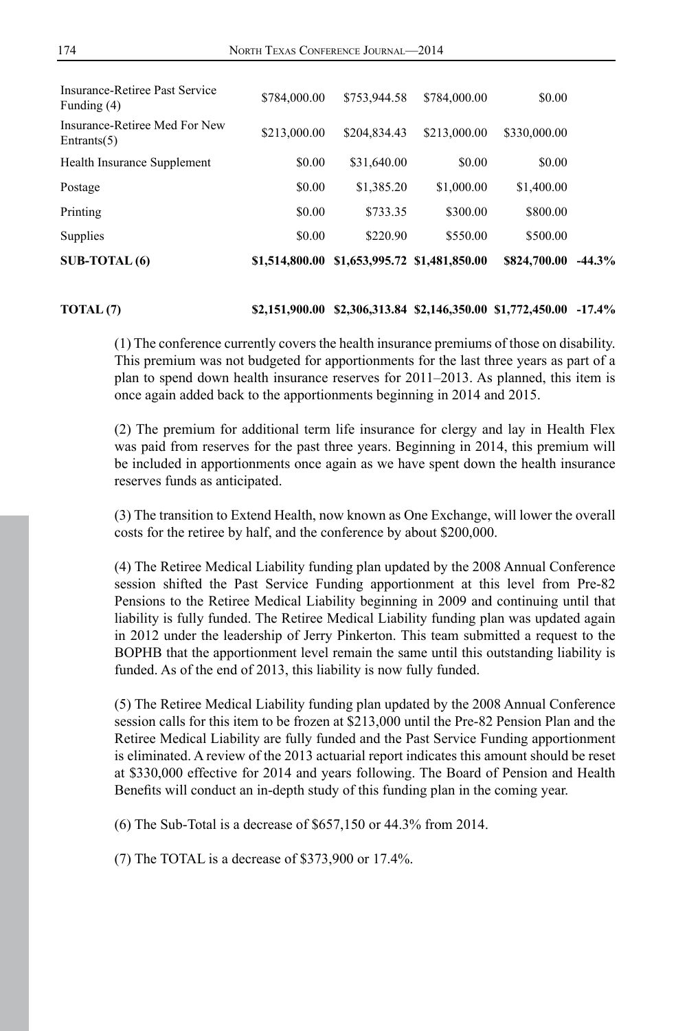| $SUB-TOTAL(6)$                                  | \$1,514,800.00 | \$1,653,995.72 \$1,481,850.00 |              | \$824,700.00 | $-44.3%$ |
|-------------------------------------------------|----------------|-------------------------------|--------------|--------------|----------|
| <b>Supplies</b>                                 | \$0.00         | \$220.90                      | \$550.00     | \$500.00     |          |
| Printing                                        | \$0.00         | \$733.35                      | \$300.00     | \$800.00     |          |
| Postage                                         | \$0.00         | \$1,385.20                    | \$1,000.00   | \$1,400.00   |          |
| Health Insurance Supplement                     | \$0.00         | \$31,640.00                   | \$0.00       | \$0.00       |          |
| Insurance-Retiree Med For New<br>Entrants $(5)$ | \$213,000.00   | \$204,834.43                  | \$213,000.00 | \$330,000.00 |          |
| Insurance-Retiree Past Service<br>Funding (4)   | \$784,000.00   | \$753,944.58                  | \$784,000.00 | \$0.00       |          |

#### **TOTAL (7) \$2,151,900.00 \$2,306,313.84 \$2,146,350.00 \$1,772,450.00 -17.4%**

(1) The conference currently covers the health insurance premiums of those on disability. This premium was not budgeted for apportionments for the last three years as part of a plan to spend down health insurance reserves for 2011–2013. As planned, this item is once again added back to the apportionments beginning in 2014 and 2015.

(2) The premium for additional term life insurance for clergy and lay in Health Flex was paid from reserves for the past three years. Beginning in 2014, this premium will be included in apportionments once again as we have spent down the health insurance reserves funds as anticipated.

(3) The transition to Extend Health, now known as One Exchange, will lower the overall costs for the retiree by half, and the conference by about \$200,000.

(4) The Retiree Medical Liability funding plan updated by the 2008 Annual Conference session shifted the Past Service Funding apportionment at this level from Pre-82 Pensions to the Retiree Medical Liability beginning in 2009 and continuing until that liability is fully funded. The Retiree Medical Liability funding plan was updated again in 2012 under the leadership of Jerry Pinkerton. This team submitted a request to the BOPHB that the apportionment level remain the same until this outstanding liability is funded. As of the end of 2013, this liability is now fully funded.

(5) The Retiree Medical Liability funding plan updated by the 2008 Annual Conference session calls for this item to be frozen at \$213,000 until the Pre-82 Pension Plan and the Retiree Medical Liability are fully funded and the Past Service Funding apportionment is eliminated. A review of the 2013 actuarial report indicates this amount should be reset at \$330,000 effective for 2014 and years following. The Board of Pension and Health Benefits will conduct an in-depth study of this funding plan in the coming year.

(6) The Sub-Total is a decrease of \$657,150 or 44.3% from 2014.

(7) The TOTAL is a decrease of \$373,900 or 17.4%.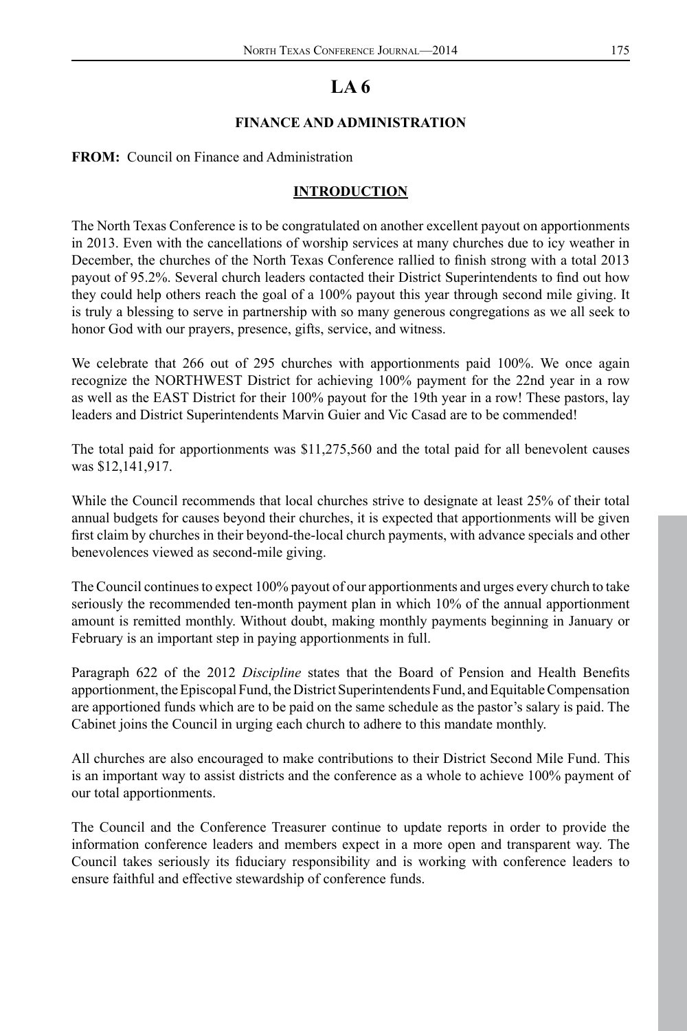#### **FINANCE AND ADMINISTRATION**

#### **FROM:** Council on Finance and Administration

## **INTRODUCTION**

The North Texas Conference is to be congratulated on another excellent payout on apportionments in 2013. Even with the cancellations of worship services at many churches due to icy weather in December, the churches of the North Texas Conference rallied to finish strong with a total 2013 payout of 95.2%. Several church leaders contacted their District Superintendents to find out how they could help others reach the goal of a 100% payout this year through second mile giving. It is truly a blessing to serve in partnership with so many generous congregations as we all seek to honor God with our prayers, presence, gifts, service, and witness.

We celebrate that 266 out of 295 churches with apportionments paid 100%. We once again recognize the NORTHWEST District for achieving 100% payment for the 22nd year in a row as well as the EAST District for their 100% payout for the 19th year in a row! These pastors, lay leaders and District Superintendents Marvin Guier and Vic Casad are to be commended!

The total paid for apportionments was \$11,275,560 and the total paid for all benevolent causes was \$12,141,917.

While the Council recommends that local churches strive to designate at least 25% of their total annual budgets for causes beyond their churches, it is expected that apportionments will be given first claim by churches in their beyond-the-local church payments, with advance specials and other benevolences viewed as second-mile giving.

The Council continues to expect 100% payout of our apportionments and urges every church to take seriously the recommended ten-month payment plan in which 10% of the annual apportionment amount is remitted monthly. Without doubt, making monthly payments beginning in January or February is an important step in paying apportionments in full.

Paragraph 622 of the 2012 *Discipline* states that the Board of Pension and Health Benefits apportionment, the Episcopal Fund, the District Superintendents Fund, and Equitable Compensation are apportioned funds which are to be paid on the same schedule as the pastor's salary is paid. The Cabinet joins the Council in urging each church to adhere to this mandate monthly.

All churches are also encouraged to make contributions to their District Second Mile Fund. This is an important way to assist districts and the conference as a whole to achieve 100% payment of our total apportionments.

The Council and the Conference Treasurer continue to update reports in order to provide the information conference leaders and members expect in a more open and transparent way. The Council takes seriously its fiduciary responsibility and is working with conference leaders to ensure faithful and effective stewardship of conference funds.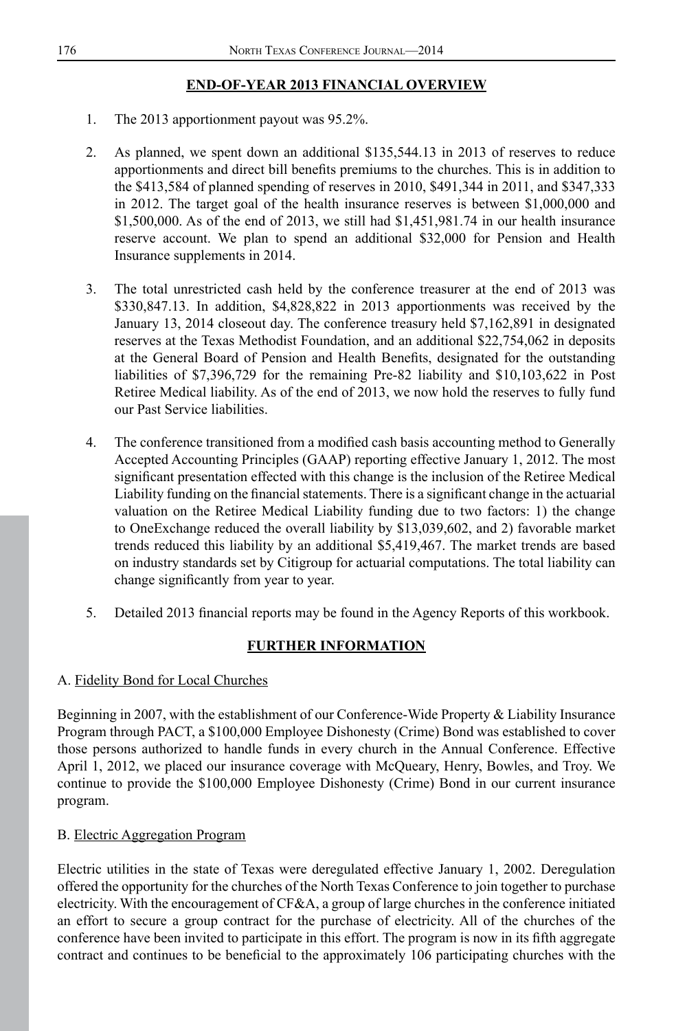# **END-OF-YEAR 2013 FINANCIAL OVERVIEW**

- 1. The 2013 apportionment payout was 95.2%.
- 2. As planned, we spent down an additional \$135,544.13 in 2013 of reserves to reduce apportionments and direct bill benefits premiums to the churches. This is in addition to the \$413,584 of planned spending of reserves in 2010, \$491,344 in 2011, and \$347,333 in 2012. The target goal of the health insurance reserves is between \$1,000,000 and \$1,500,000. As of the end of 2013, we still had \$1,451,981.74 in our health insurance reserve account. We plan to spend an additional \$32,000 for Pension and Health Insurance supplements in 2014.
- 3. The total unrestricted cash held by the conference treasurer at the end of 2013 was \$330,847.13. In addition, \$4,828,822 in 2013 apportionments was received by the January 13, 2014 closeout day. The conference treasury held \$7,162,891 in designated reserves at the Texas Methodist Foundation, and an additional \$22,754,062 in deposits at the General Board of Pension and Health Benefits, designated for the outstanding liabilities of \$7,396,729 for the remaining Pre-82 liability and \$10,103,622 in Post Retiree Medical liability. As of the end of 2013, we now hold the reserves to fully fund our Past Service liabilities.
- 4. The conference transitioned from a modified cash basis accounting method to Generally Accepted Accounting Principles (GAAP) reporting effective January 1, 2012. The most significant presentation effected with this change is the inclusion of the Retiree Medical Liability funding on the financial statements. There is a significant change in the actuarial valuation on the Retiree Medical Liability funding due to two factors: 1) the change to OneExchange reduced the overall liability by \$13,039,602, and 2) favorable market trends reduced this liability by an additional \$5,419,467. The market trends are based on industry standards set by Citigroup for actuarial computations. The total liability can change significantly from year to year.
- 5. Detailed 2013 financial reports may be found in the Agency Reports of this workbook.

## **FURTHER INFORMATION**

#### A. Fidelity Bond for Local Churches

Beginning in 2007, with the establishment of our Conference-Wide Property & Liability Insurance Program through PACT, a \$100,000 Employee Dishonesty (Crime) Bond was established to cover those persons authorized to handle funds in every church in the Annual Conference. Effective April 1, 2012, we placed our insurance coverage with McQueary, Henry, Bowles, and Troy. We continue to provide the \$100,000 Employee Dishonesty (Crime) Bond in our current insurance program.

## B. Electric Aggregation Program

Electric utilities in the state of Texas were deregulated effective January 1, 2002. Deregulation offered the opportunity for the churches of the North Texas Conference to join together to purchase electricity. With the encouragement of CF&A, a group of large churches in the conference initiated an effort to secure a group contract for the purchase of electricity. All of the churches of the conference have been invited to participate in this effort. The program is now in its fifth aggregate contract and continues to be beneficial to the approximately 106 participating churches with the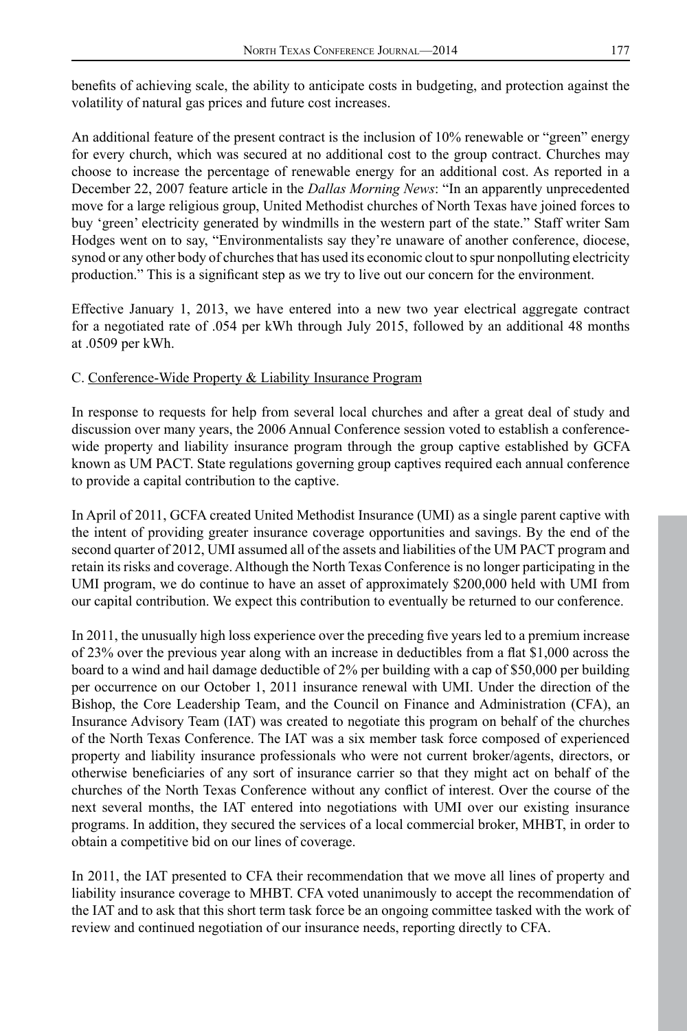benefits of achieving scale, the ability to anticipate costs in budgeting, and protection against the volatility of natural gas prices and future cost increases.

An additional feature of the present contract is the inclusion of 10% renewable or "green" energy for every church, which was secured at no additional cost to the group contract. Churches may choose to increase the percentage of renewable energy for an additional cost. As reported in a December 22, 2007 feature article in the *Dallas Morning News*: "In an apparently unprecedented move for a large religious group, United Methodist churches of North Texas have joined forces to buy 'green' electricity generated by windmills in the western part of the state." Staff writer Sam Hodges went on to say, "Environmentalists say they're unaware of another conference, diocese, synod or any other body of churches that has used its economic clout to spur nonpolluting electricity production." This is a significant step as we try to live out our concern for the environment.

Effective January 1, 2013, we have entered into a new two year electrical aggregate contract for a negotiated rate of .054 per kWh through July 2015, followed by an additional 48 months at .0509 per kWh.

#### C. Conference-Wide Property & Liability Insurance Program

In response to requests for help from several local churches and after a great deal of study and discussion over many years, the 2006 Annual Conference session voted to establish a conferencewide property and liability insurance program through the group captive established by GCFA known as UM PACT. State regulations governing group captives required each annual conference to provide a capital contribution to the captive.

In April of 2011, GCFA created United Methodist Insurance (UMI) as a single parent captive with the intent of providing greater insurance coverage opportunities and savings. By the end of the second quarter of 2012, UMI assumed all of the assets and liabilities of the UM PACT program and retain its risks and coverage. Although the North Texas Conference is no longer participating in the UMI program, we do continue to have an asset of approximately \$200,000 held with UMI from our capital contribution. We expect this contribution to eventually be returned to our conference.

In 2011, the unusually high loss experience over the preceding five years led to a premium increase of 23% over the previous year along with an increase in deductibles from a flat \$1,000 across the board to a wind and hail damage deductible of 2% per building with a cap of \$50,000 per building per occurrence on our October 1, 2011 insurance renewal with UMI. Under the direction of the Bishop, the Core Leadership Team, and the Council on Finance and Administration (CFA), an Insurance Advisory Team (IAT) was created to negotiate this program on behalf of the churches of the North Texas Conference. The IAT was a six member task force composed of experienced property and liability insurance professionals who were not current broker/agents, directors, or otherwise beneficiaries of any sort of insurance carrier so that they might act on behalf of the churches of the North Texas Conference without any conflict of interest. Over the course of the next several months, the IAT entered into negotiations with UMI over our existing insurance programs. In addition, they secured the services of a local commercial broker, MHBT, in order to obtain a competitive bid on our lines of coverage.

In 2011, the IAT presented to CFA their recommendation that we move all lines of property and liability insurance coverage to MHBT. CFA voted unanimously to accept the recommendation of the IAT and to ask that this short term task force be an ongoing committee tasked with the work of review and continued negotiation of our insurance needs, reporting directly to CFA.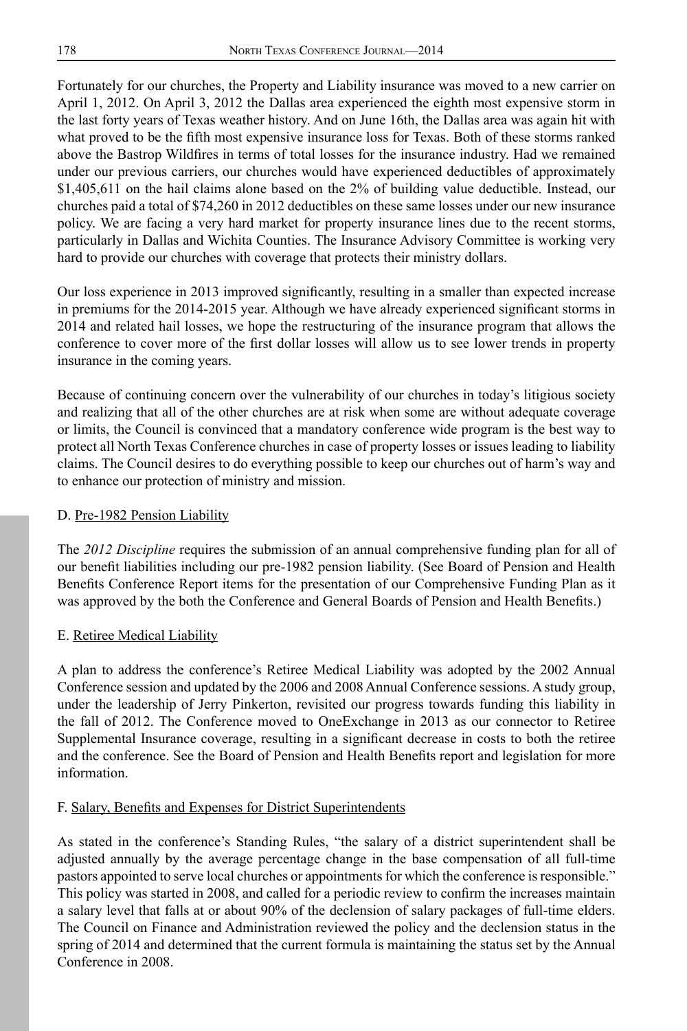Fortunately for our churches, the Property and Liability insurance was moved to a new carrier on April 1, 2012. On April 3, 2012 the Dallas area experienced the eighth most expensive storm in the last forty years of Texas weather history. And on June 16th, the Dallas area was again hit with what proved to be the fifth most expensive insurance loss for Texas. Both of these storms ranked above the Bastrop Wildfires in terms of total losses for the insurance industry. Had we remained under our previous carriers, our churches would have experienced deductibles of approximately \$1,405,611 on the hail claims alone based on the 2% of building value deductible. Instead, our churches paid a total of \$74,260 in 2012 deductibles on these same losses under our new insurance policy. We are facing a very hard market for property insurance lines due to the recent storms, particularly in Dallas and Wichita Counties. The Insurance Advisory Committee is working very hard to provide our churches with coverage that protects their ministry dollars.

Our loss experience in 2013 improved significantly, resulting in a smaller than expected increase in premiums for the 2014-2015 year. Although we have already experienced significant storms in 2014 and related hail losses, we hope the restructuring of the insurance program that allows the conference to cover more of the first dollar losses will allow us to see lower trends in property insurance in the coming years.

Because of continuing concern over the vulnerability of our churches in today's litigious society and realizing that all of the other churches are at risk when some are without adequate coverage or limits, the Council is convinced that a mandatory conference wide program is the best way to protect all North Texas Conference churches in case of property losses or issues leading to liability claims. The Council desires to do everything possible to keep our churches out of harm's way and to enhance our protection of ministry and mission.

#### D. Pre-1982 Pension Liability

The *2012 Discipline* requires the submission of an annual comprehensive funding plan for all of our benefit liabilities including our pre-1982 pension liability. (See Board of Pension and Health Benefits Conference Report items for the presentation of our Comprehensive Funding Plan as it was approved by the both the Conference and General Boards of Pension and Health Benefits.)

#### E. Retiree Medical Liability

A plan to address the conference's Retiree Medical Liability was adopted by the 2002 Annual Conference session and updated by the 2006 and 2008 Annual Conference sessions. A study group, under the leadership of Jerry Pinkerton, revisited our progress towards funding this liability in the fall of 2012. The Conference moved to OneExchange in 2013 as our connector to Retiree Supplemental Insurance coverage, resulting in a significant decrease in costs to both the retiree and the conference. See the Board of Pension and Health Benefits report and legislation for more information.

#### F. Salary, Benefits and Expenses for District Superintendents

As stated in the conference's Standing Rules, "the salary of a district superintendent shall be adjusted annually by the average percentage change in the base compensation of all full-time pastors appointed to serve local churches or appointments for which the conference is responsible." This policy was started in 2008, and called for a periodic review to confirm the increases maintain a salary level that falls at or about 90% of the declension of salary packages of full-time elders. The Council on Finance and Administration reviewed the policy and the declension status in the spring of 2014 and determined that the current formula is maintaining the status set by the Annual Conference in 2008.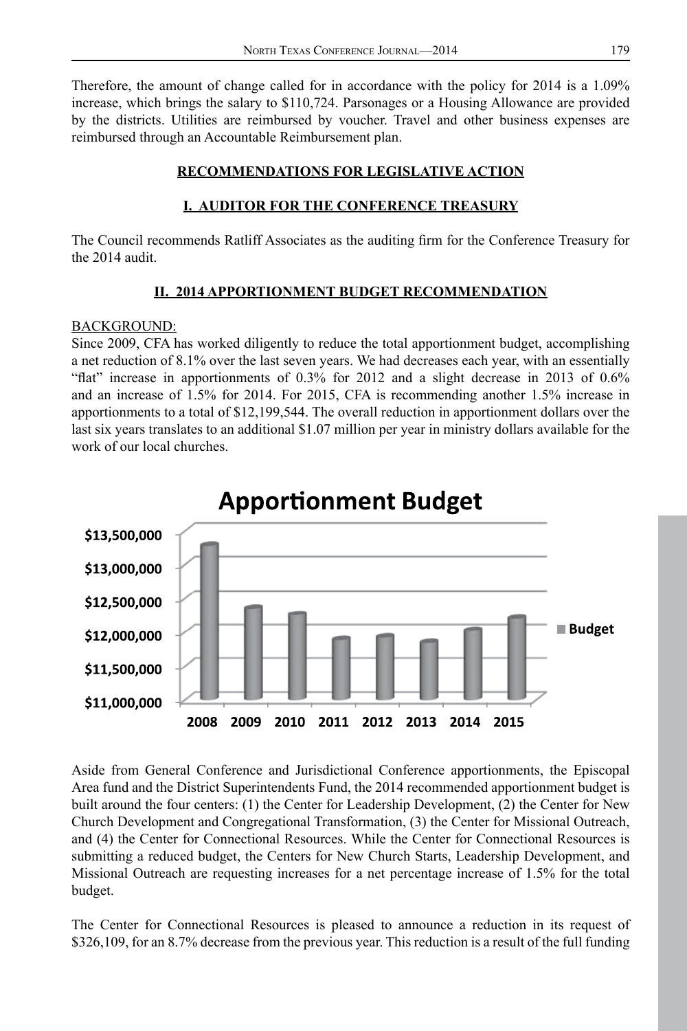Therefore, the amount of change called for in accordance with the policy for 2014 is a 1.09% increase, which brings the salary to \$110,724. Parsonages or a Housing Allowance are provided by the districts. Utilities are reimbursed by voucher. Travel and other business expenses are reimbursed through an Accountable Reimbursement plan.

## **RECOMMENDATIONS FOR LEGISLATIVE ACTION**

# **I. AUDITOR FOR THE CONFERENCE TREASURY**

The Council recommends Ratliff Associates as the auditing firm for the Conference Treasury for the 2014 audit.

# **II. 2014 APPORTIONMENT BUDGET RECOMMENDATION**

#### BACKGROUND:

Since 2009, CFA has worked diligently to reduce the total apportionment budget, accomplishing a net reduction of 8.1% over the last seven years. We had decreases each year, with an essentially "flat" increase in apportionments of 0.3% for 2012 and a slight decrease in 2013 of 0.6% and an increase of 1.5% for 2014. For 2015, CFA is recommending another 1.5% increase in apportionments to a total of \$12,199,544. The overall reduction in apportionment dollars over the last six years translates to an additional \$1.07 million per year in ministry dollars available for the work of our local churches.



# **Apportionment Budget**

Aside from General Conference and Jurisdictional Conference apportionments, the Episcopal Area fund and the District Superintendents Fund, the 2014 recommended apportionment budget is built around the four centers: (1) the Center for Leadership Development, (2) the Center for New Church Development and Congregational Transformation, (3) the Center for Missional Outreach, and (4) the Center for Connectional Resources. While the Center for Connectional Resources is submitting a reduced budget, the Centers for New Church Starts, Leadership Development, and Missional Outreach are requesting increases for a net percentage increase of 1.5% for the total budget.

The Center for Connectional Resources is pleased to announce a reduction in its request of \$326,109, for an 8.7% decrease from the previous year. This reduction is a result of the full funding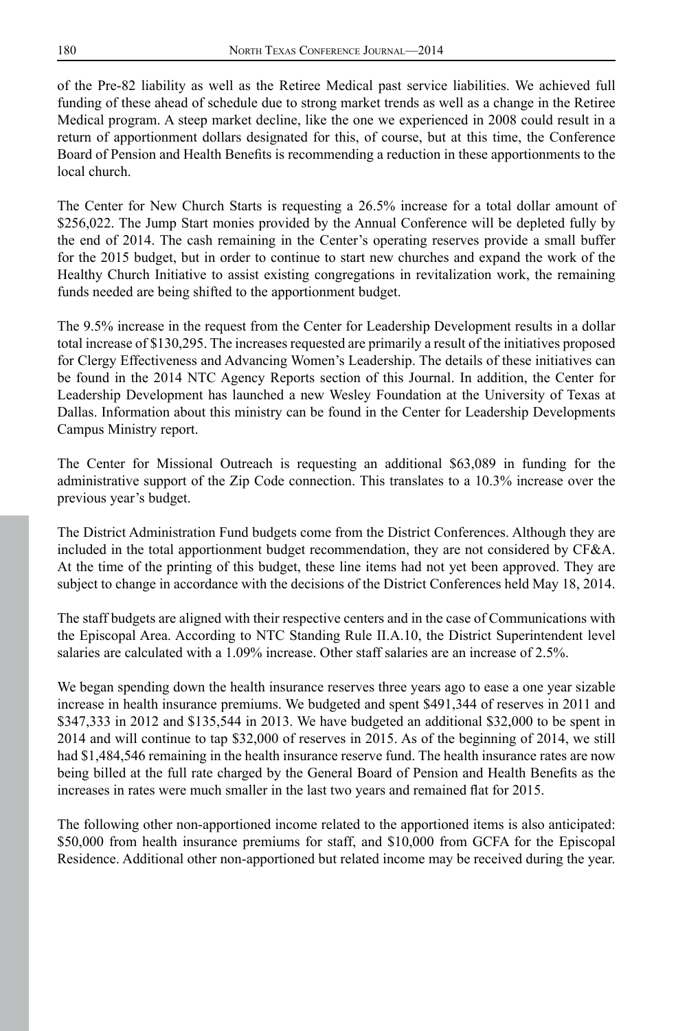of the Pre-82 liability as well as the Retiree Medical past service liabilities. We achieved full funding of these ahead of schedule due to strong market trends as well as a change in the Retiree Medical program. A steep market decline, like the one we experienced in 2008 could result in a return of apportionment dollars designated for this, of course, but at this time, the Conference Board of Pension and Health Benefits is recommending a reduction in these apportionments to the local church.

The Center for New Church Starts is requesting a 26.5% increase for a total dollar amount of \$256,022. The Jump Start monies provided by the Annual Conference will be depleted fully by the end of 2014. The cash remaining in the Center's operating reserves provide a small buffer for the 2015 budget, but in order to continue to start new churches and expand the work of the Healthy Church Initiative to assist existing congregations in revitalization work, the remaining funds needed are being shifted to the apportionment budget.

The 9.5% increase in the request from the Center for Leadership Development results in a dollar total increase of \$130,295. The increases requested are primarily a result of the initiatives proposed for Clergy Effectiveness and Advancing Women's Leadership. The details of these initiatives can be found in the 2014 NTC Agency Reports section of this Journal. In addition, the Center for Leadership Development has launched a new Wesley Foundation at the University of Texas at Dallas. Information about this ministry can be found in the Center for Leadership Developments Campus Ministry report.

The Center for Missional Outreach is requesting an additional \$63,089 in funding for the administrative support of the Zip Code connection. This translates to a 10.3% increase over the previous year's budget.

The District Administration Fund budgets come from the District Conferences. Although they are included in the total apportionment budget recommendation, they are not considered by CF&A. At the time of the printing of this budget, these line items had not yet been approved. They are subject to change in accordance with the decisions of the District Conferences held May 18, 2014.

The staff budgets are aligned with their respective centers and in the case of Communications with the Episcopal Area. According to NTC Standing Rule II.A.10, the District Superintendent level salaries are calculated with a 1.09% increase. Other staff salaries are an increase of 2.5%.

We began spending down the health insurance reserves three years ago to ease a one year sizable increase in health insurance premiums. We budgeted and spent \$491,344 of reserves in 2011 and \$347,333 in 2012 and \$135,544 in 2013. We have budgeted an additional \$32,000 to be spent in 2014 and will continue to tap \$32,000 of reserves in 2015. As of the beginning of 2014, we still had \$1,484,546 remaining in the health insurance reserve fund. The health insurance rates are now being billed at the full rate charged by the General Board of Pension and Health Benefits as the increases in rates were much smaller in the last two years and remained flat for 2015.

The following other non-apportioned income related to the apportioned items is also anticipated: \$50,000 from health insurance premiums for staff, and \$10,000 from GCFA for the Episcopal Residence. Additional other non-apportioned but related income may be received during the year.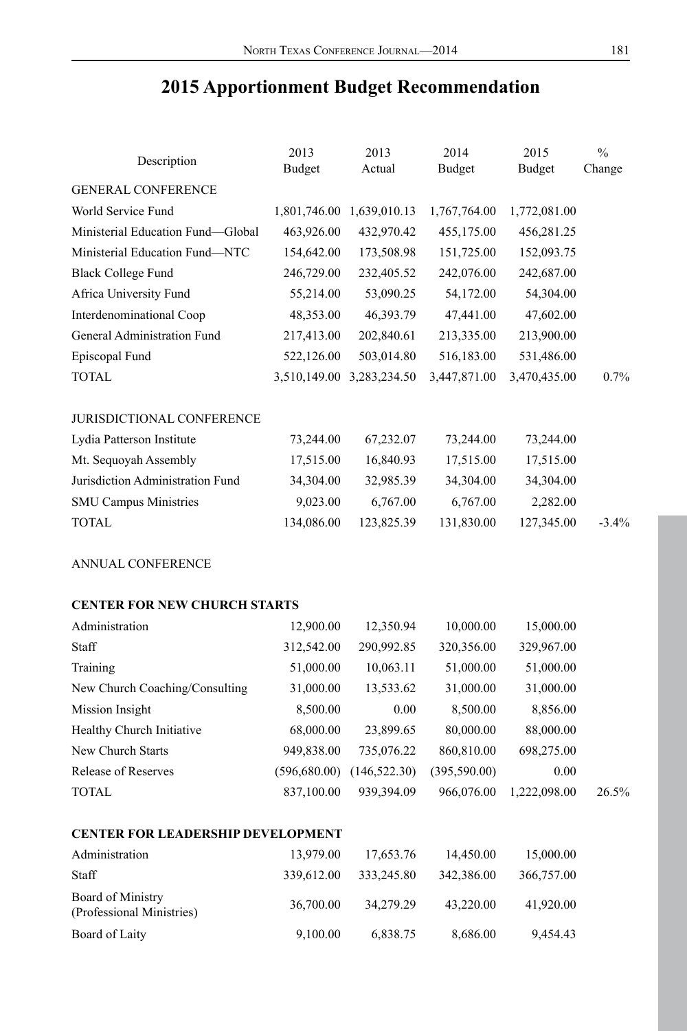# Description <sup>2013</sup> Budget 2013 Actual 2014 Budget 2015 Budget  $\frac{0}{0}$ Change GENERAL CONFERENCE World Service Fund 1,801,746.00 1,639,010.13 1,767,764.00 1,772,081.00 Ministerial Education Fund—Global 463,926.00 432,970.42 455,175.00 456,281.25 Ministerial Education Fund—NTC 154,642.00 173,508.98 151,725.00 152,093.75 Black College Fund 246,729.00 232,405.52 242,076.00 242,687.00 Africa University Fund 55,214.00 53,090.25 54,172.00 54,304.00 Interdenominational Coop 48,353.00 46,393.79 47,441.00 47,602.00 General Administration Fund 217,413.00 202,840.61 213,335.00 213,900.00 Episcopal Fund 522,126.00 503,014.80 516,183.00 531,486.00 TOTAL 3,510,149.00 3,283,234.50 3,447,871.00 3,470,435.00 0.7% JURISDICTIONAL CONFERENCE Lydia Patterson Institute 73,244.00 67,232.07 73,244.00 73,244.00 Mt. Sequoyah Assembly 17,515.00 16,840.93 17,515.00 17,515.00 Jurisdiction Administration Fund 34,304.00 32,985.39 34,304.00 34,304.00 SMU Campus Ministries 9,023.00 6,767.00 6,767.00 2,282.00 TOTAL 134,086.00 123,825.39 131,830.00 127,345.00 -3.4% ANNUAL CONFERENCE **CENTER FOR NEW CHURCH STARTS** Administration 12,900.00 12,350.94 10,000.00 15,000.00 Staff 312,542.00 290,992.85 320,356.00 329,967.00 Training 51,000.00 10,063.11 51,000.00 51,000.00 New Church Coaching/Consulting 31,000.00 13,533.62 31,000.00 31,000.00 Mission Insight 8,500.00 0.00 8,500.00 8,856.00 Healthy Church Initiative 68,000.00 23,899.65 80,000.00 88,000.00 New Church Starts 949,838.00 735,076.22 860,810.00 698,275.00 Release of Reserves (596,680.00) (146,522.30) (395,590.00) 0.00 TOTAL 837,100.00 939,394.09 966,076.00 1,222,098.00 26.5% **CENTER FOR LEADERSHIP DEVELOPMENT** Administration 13,979.00 17,653.76 14,450.00 15,000.00 Staff 339,612.00 333,245.80 342,386.00 366,757.00 Board of Ministry (Professional Ministries) 36,700.00 34,279.29 43,220.00 41,920.00

Board of Laity 9,100.00 6,838.75 8,686.00 9,454.43

# **2015 Apportionment Budget Recommendation**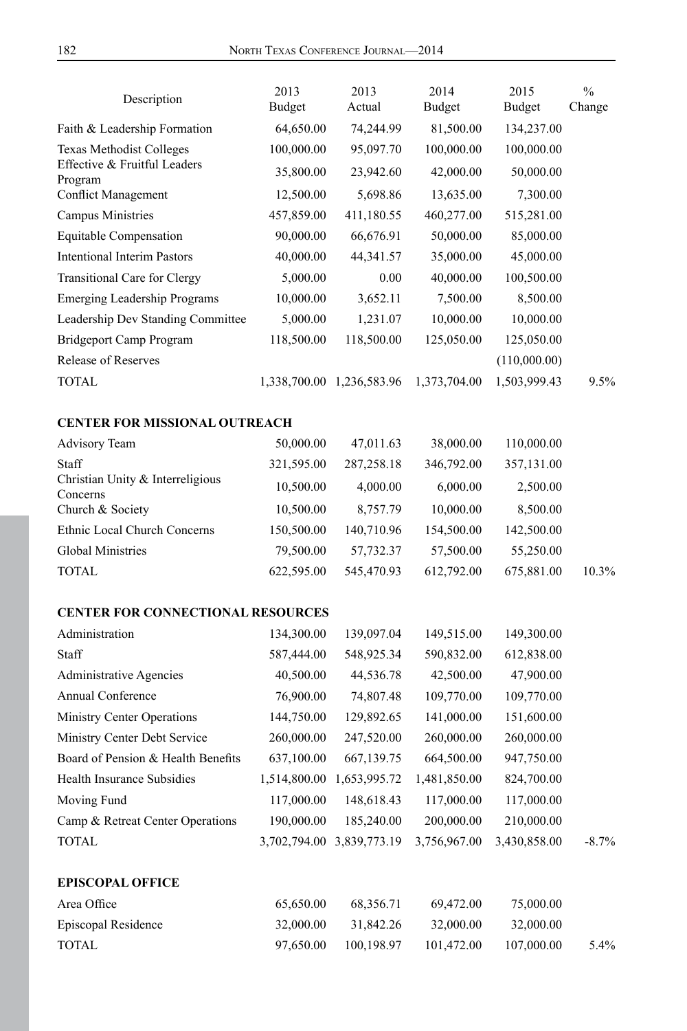| 64,650.00<br>81,500.00<br>Faith & Leadership Formation<br>74,244.99<br>134,237.00<br>Texas Methodist Colleges<br>100,000.00<br>95,097.70<br>100,000.00<br>100,000.00<br>Effective & Fruitful Leaders<br>35,800.00<br>23,942.60<br>42,000.00<br>50,000.00<br>Program<br><b>Conflict Management</b><br>12,500.00<br>5,698.86<br>13,635.00<br>7,300.00<br>Campus Ministries<br>411,180.55<br>460,277.00<br>457,859.00<br>515,281.00<br>Equitable Compensation<br>90,000.00<br>66,676.91<br>50,000.00<br>85,000.00<br><b>Intentional Interim Pastors</b><br>40,000.00<br>44,341.57<br>35,000.00<br>45,000.00<br>Transitional Care for Clergy<br>5,000.00<br>0.00<br>40,000.00<br>100,500.00<br>3,652.11<br><b>Emerging Leadership Programs</b><br>10,000.00<br>7,500.00<br>8,500.00<br>Leadership Dev Standing Committee<br>5,000.00<br>10,000.00<br>10,000.00<br>1,231.07<br>Bridgeport Camp Program<br>118,500.00<br>125,050.00<br>125,050.00<br>118,500.00<br><b>Release of Reserves</b><br>(110,000.00)<br><b>TOTAL</b><br>1,338,700.00 1,236,583.96<br>1,373,704.00<br>1,503,999.43<br><b>CENTER FOR MISSIONAL OUTREACH</b><br>Advisory Team<br>50,000.00<br>47,011.63<br>38,000.00<br>110,000.00<br>Staff<br>321,595.00<br>287,258.18<br>346,792.00<br>357,131.00<br>Christian Unity & Interreligious<br>6,000.00<br>10,500.00<br>4,000.00<br>2,500.00<br>Concerns<br>10,500.00<br>8,757.79<br>10,000.00<br>8,500.00<br>Church & Society<br>Ethnic Local Church Concerns<br>150,500.00<br>140,710.96<br>154,500.00<br>142,500.00<br><b>Global Ministries</b><br>79,500.00<br>57,732.37<br>57,500.00<br>55,250.00 | Change  |
|--------------------------------------------------------------------------------------------------------------------------------------------------------------------------------------------------------------------------------------------------------------------------------------------------------------------------------------------------------------------------------------------------------------------------------------------------------------------------------------------------------------------------------------------------------------------------------------------------------------------------------------------------------------------------------------------------------------------------------------------------------------------------------------------------------------------------------------------------------------------------------------------------------------------------------------------------------------------------------------------------------------------------------------------------------------------------------------------------------------------------------------------------------------------------------------------------------------------------------------------------------------------------------------------------------------------------------------------------------------------------------------------------------------------------------------------------------------------------------------------------------------------------------------------------------------------------------------------------------------------|---------|
|                                                                                                                                                                                                                                                                                                                                                                                                                                                                                                                                                                                                                                                                                                                                                                                                                                                                                                                                                                                                                                                                                                                                                                                                                                                                                                                                                                                                                                                                                                                                                                                                                    |         |
|                                                                                                                                                                                                                                                                                                                                                                                                                                                                                                                                                                                                                                                                                                                                                                                                                                                                                                                                                                                                                                                                                                                                                                                                                                                                                                                                                                                                                                                                                                                                                                                                                    |         |
|                                                                                                                                                                                                                                                                                                                                                                                                                                                                                                                                                                                                                                                                                                                                                                                                                                                                                                                                                                                                                                                                                                                                                                                                                                                                                                                                                                                                                                                                                                                                                                                                                    |         |
|                                                                                                                                                                                                                                                                                                                                                                                                                                                                                                                                                                                                                                                                                                                                                                                                                                                                                                                                                                                                                                                                                                                                                                                                                                                                                                                                                                                                                                                                                                                                                                                                                    |         |
|                                                                                                                                                                                                                                                                                                                                                                                                                                                                                                                                                                                                                                                                                                                                                                                                                                                                                                                                                                                                                                                                                                                                                                                                                                                                                                                                                                                                                                                                                                                                                                                                                    |         |
|                                                                                                                                                                                                                                                                                                                                                                                                                                                                                                                                                                                                                                                                                                                                                                                                                                                                                                                                                                                                                                                                                                                                                                                                                                                                                                                                                                                                                                                                                                                                                                                                                    |         |
|                                                                                                                                                                                                                                                                                                                                                                                                                                                                                                                                                                                                                                                                                                                                                                                                                                                                                                                                                                                                                                                                                                                                                                                                                                                                                                                                                                                                                                                                                                                                                                                                                    |         |
|                                                                                                                                                                                                                                                                                                                                                                                                                                                                                                                                                                                                                                                                                                                                                                                                                                                                                                                                                                                                                                                                                                                                                                                                                                                                                                                                                                                                                                                                                                                                                                                                                    |         |
|                                                                                                                                                                                                                                                                                                                                                                                                                                                                                                                                                                                                                                                                                                                                                                                                                                                                                                                                                                                                                                                                                                                                                                                                                                                                                                                                                                                                                                                                                                                                                                                                                    |         |
|                                                                                                                                                                                                                                                                                                                                                                                                                                                                                                                                                                                                                                                                                                                                                                                                                                                                                                                                                                                                                                                                                                                                                                                                                                                                                                                                                                                                                                                                                                                                                                                                                    |         |
|                                                                                                                                                                                                                                                                                                                                                                                                                                                                                                                                                                                                                                                                                                                                                                                                                                                                                                                                                                                                                                                                                                                                                                                                                                                                                                                                                                                                                                                                                                                                                                                                                    |         |
|                                                                                                                                                                                                                                                                                                                                                                                                                                                                                                                                                                                                                                                                                                                                                                                                                                                                                                                                                                                                                                                                                                                                                                                                                                                                                                                                                                                                                                                                                                                                                                                                                    |         |
|                                                                                                                                                                                                                                                                                                                                                                                                                                                                                                                                                                                                                                                                                                                                                                                                                                                                                                                                                                                                                                                                                                                                                                                                                                                                                                                                                                                                                                                                                                                                                                                                                    | 9.5%    |
|                                                                                                                                                                                                                                                                                                                                                                                                                                                                                                                                                                                                                                                                                                                                                                                                                                                                                                                                                                                                                                                                                                                                                                                                                                                                                                                                                                                                                                                                                                                                                                                                                    |         |
|                                                                                                                                                                                                                                                                                                                                                                                                                                                                                                                                                                                                                                                                                                                                                                                                                                                                                                                                                                                                                                                                                                                                                                                                                                                                                                                                                                                                                                                                                                                                                                                                                    |         |
|                                                                                                                                                                                                                                                                                                                                                                                                                                                                                                                                                                                                                                                                                                                                                                                                                                                                                                                                                                                                                                                                                                                                                                                                                                                                                                                                                                                                                                                                                                                                                                                                                    |         |
|                                                                                                                                                                                                                                                                                                                                                                                                                                                                                                                                                                                                                                                                                                                                                                                                                                                                                                                                                                                                                                                                                                                                                                                                                                                                                                                                                                                                                                                                                                                                                                                                                    |         |
|                                                                                                                                                                                                                                                                                                                                                                                                                                                                                                                                                                                                                                                                                                                                                                                                                                                                                                                                                                                                                                                                                                                                                                                                                                                                                                                                                                                                                                                                                                                                                                                                                    |         |
|                                                                                                                                                                                                                                                                                                                                                                                                                                                                                                                                                                                                                                                                                                                                                                                                                                                                                                                                                                                                                                                                                                                                                                                                                                                                                                                                                                                                                                                                                                                                                                                                                    |         |
|                                                                                                                                                                                                                                                                                                                                                                                                                                                                                                                                                                                                                                                                                                                                                                                                                                                                                                                                                                                                                                                                                                                                                                                                                                                                                                                                                                                                                                                                                                                                                                                                                    |         |
| <b>TOTAL</b><br>622,595.00<br>545,470.93<br>612,792.00<br>675,881.00                                                                                                                                                                                                                                                                                                                                                                                                                                                                                                                                                                                                                                                                                                                                                                                                                                                                                                                                                                                                                                                                                                                                                                                                                                                                                                                                                                                                                                                                                                                                               | 10.3%   |
| <b>CENTER FOR CONNECTIONAL RESOURCES</b>                                                                                                                                                                                                                                                                                                                                                                                                                                                                                                                                                                                                                                                                                                                                                                                                                                                                                                                                                                                                                                                                                                                                                                                                                                                                                                                                                                                                                                                                                                                                                                           |         |
| 139,097.04<br>Administration<br>134,300.00<br>149,515.00<br>149,300.00                                                                                                                                                                                                                                                                                                                                                                                                                                                                                                                                                                                                                                                                                                                                                                                                                                                                                                                                                                                                                                                                                                                                                                                                                                                                                                                                                                                                                                                                                                                                             |         |
| Staff<br>587,444.00<br>548,925.34<br>590,832.00<br>612,838.00                                                                                                                                                                                                                                                                                                                                                                                                                                                                                                                                                                                                                                                                                                                                                                                                                                                                                                                                                                                                                                                                                                                                                                                                                                                                                                                                                                                                                                                                                                                                                      |         |
| 44,536.78<br>Administrative Agencies<br>40,500.00<br>42,500.00<br>47,900.00                                                                                                                                                                                                                                                                                                                                                                                                                                                                                                                                                                                                                                                                                                                                                                                                                                                                                                                                                                                                                                                                                                                                                                                                                                                                                                                                                                                                                                                                                                                                        |         |
| <b>Annual Conference</b><br>76,900.00<br>74,807.48<br>109,770.00<br>109,770.00                                                                                                                                                                                                                                                                                                                                                                                                                                                                                                                                                                                                                                                                                                                                                                                                                                                                                                                                                                                                                                                                                                                                                                                                                                                                                                                                                                                                                                                                                                                                     |         |
| Ministry Center Operations<br>144,750.00<br>129,892.65<br>141,000.00<br>151,600.00                                                                                                                                                                                                                                                                                                                                                                                                                                                                                                                                                                                                                                                                                                                                                                                                                                                                                                                                                                                                                                                                                                                                                                                                                                                                                                                                                                                                                                                                                                                                 |         |
| Ministry Center Debt Service<br>247,520.00<br>260,000.00<br>260,000.00<br>260,000.00                                                                                                                                                                                                                                                                                                                                                                                                                                                                                                                                                                                                                                                                                                                                                                                                                                                                                                                                                                                                                                                                                                                                                                                                                                                                                                                                                                                                                                                                                                                               |         |
| Board of Pension & Health Benefits<br>637,100.00<br>667,139.75<br>664,500.00<br>947,750.00                                                                                                                                                                                                                                                                                                                                                                                                                                                                                                                                                                                                                                                                                                                                                                                                                                                                                                                                                                                                                                                                                                                                                                                                                                                                                                                                                                                                                                                                                                                         |         |
| Health Insurance Subsidies<br>1,514,800.00 1,653,995.72<br>1,481,850.00<br>824,700.00                                                                                                                                                                                                                                                                                                                                                                                                                                                                                                                                                                                                                                                                                                                                                                                                                                                                                                                                                                                                                                                                                                                                                                                                                                                                                                                                                                                                                                                                                                                              |         |
| 117,000.00<br>148,618.43<br>117,000.00<br>117,000.00<br>Moving Fund                                                                                                                                                                                                                                                                                                                                                                                                                                                                                                                                                                                                                                                                                                                                                                                                                                                                                                                                                                                                                                                                                                                                                                                                                                                                                                                                                                                                                                                                                                                                                |         |
| 190,000.00<br>200,000.00<br>210,000.00<br>Camp & Retreat Center Operations<br>185,240.00                                                                                                                                                                                                                                                                                                                                                                                                                                                                                                                                                                                                                                                                                                                                                                                                                                                                                                                                                                                                                                                                                                                                                                                                                                                                                                                                                                                                                                                                                                                           |         |
| <b>TOTAL</b><br>3,702,794.00 3,839,773.19<br>3,756,967.00<br>3,430,858.00                                                                                                                                                                                                                                                                                                                                                                                                                                                                                                                                                                                                                                                                                                                                                                                                                                                                                                                                                                                                                                                                                                                                                                                                                                                                                                                                                                                                                                                                                                                                          | $-8.7%$ |
| <b>EPISCOPAL OFFICE</b>                                                                                                                                                                                                                                                                                                                                                                                                                                                                                                                                                                                                                                                                                                                                                                                                                                                                                                                                                                                                                                                                                                                                                                                                                                                                                                                                                                                                                                                                                                                                                                                            |         |
| Area Office<br>65,650.00<br>69,472.00<br>75,000.00<br>68,356.71                                                                                                                                                                                                                                                                                                                                                                                                                                                                                                                                                                                                                                                                                                                                                                                                                                                                                                                                                                                                                                                                                                                                                                                                                                                                                                                                                                                                                                                                                                                                                    |         |
| Episcopal Residence<br>32,000.00<br>31,842.26<br>32,000.00<br>32,000.00                                                                                                                                                                                                                                                                                                                                                                                                                                                                                                                                                                                                                                                                                                                                                                                                                                                                                                                                                                                                                                                                                                                                                                                                                                                                                                                                                                                                                                                                                                                                            |         |
| <b>TOTAL</b><br>97,650.00<br>100,198.97<br>101,472.00<br>107,000.00                                                                                                                                                                                                                                                                                                                                                                                                                                                                                                                                                                                                                                                                                                                                                                                                                                                                                                                                                                                                                                                                                                                                                                                                                                                                                                                                                                                                                                                                                                                                                | 5.4%    |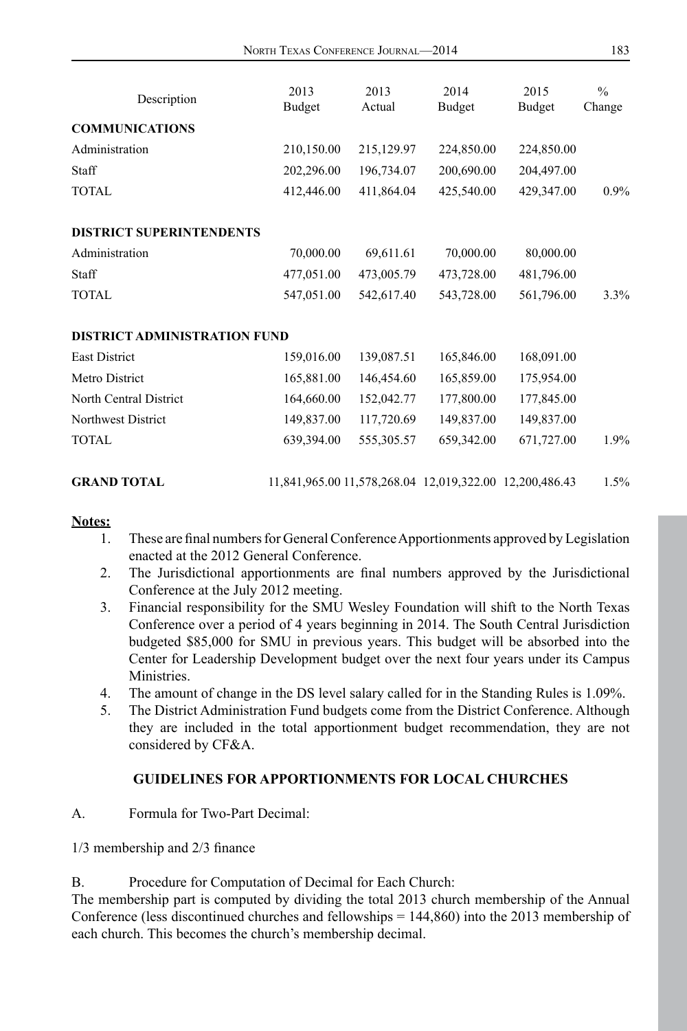| 183<br>NORTH TEXAS CONFERENCE JOURNAL—2014 |
|--------------------------------------------|
|                                            |

| Description                         | 2013<br>Budget | 2013<br>Actual | 2014<br>Budget                                          | 2015<br>Budget | $\frac{0}{0}$<br>Change |
|-------------------------------------|----------------|----------------|---------------------------------------------------------|----------------|-------------------------|
| <b>COMMUNICATIONS</b>               |                |                |                                                         |                |                         |
| Administration                      | 210,150.00     | 215,129.97     | 224,850.00                                              | 224,850.00     |                         |
| Staff                               | 202,296.00     | 196,734.07     | 200,690.00                                              | 204,497.00     |                         |
| <b>TOTAL</b>                        | 412,446.00     | 411,864.04     | 425,540.00                                              | 429,347.00     | $0.9\%$                 |
| <b>DISTRICT SUPERINTENDENTS</b>     |                |                |                                                         |                |                         |
| Administration                      | 70,000.00      | 69,611.61      | 70,000.00                                               | 80,000.00      |                         |
| Staff                               | 477,051.00     | 473,005.79     | 473,728.00                                              | 481,796.00     |                         |
| <b>TOTAL</b>                        | 547,051.00     | 542,617.40     | 543,728.00                                              | 561,796.00     | 3.3%                    |
| <b>DISTRICT ADMINISTRATION FUND</b> |                |                |                                                         |                |                         |
| <b>East District</b>                | 159,016.00     | 139,087.51     | 165,846.00                                              | 168,091.00     |                         |
| Metro District                      | 165,881.00     | 146,454.60     | 165,859.00                                              | 175,954.00     |                         |
| North Central District              | 164,660.00     | 152,042.77     | 177,800.00                                              | 177,845.00     |                         |
| Northwest District                  | 149,837.00     | 117,720.69     | 149,837.00                                              | 149,837.00     |                         |
| TOTAL.                              | 639,394.00     | 555,305.57     | 659,342.00                                              | 671,727.00     | 1.9%                    |
| <b>GRAND TOTAL</b>                  |                |                | 11,841,965.00 11,578,268.04 12,019,322.00 12,200,486.43 |                | 1.5%                    |

#### **Notes:**

- 1. These are final numbers for General Conference Apportionments approved by Legislation enacted at the 2012 General Conference.
- 2. The Jurisdictional apportionments are final numbers approved by the Jurisdictional Conference at the July 2012 meeting.
- 3. Financial responsibility for the SMU Wesley Foundation will shift to the North Texas Conference over a period of 4 years beginning in 2014. The South Central Jurisdiction budgeted \$85,000 for SMU in previous years. This budget will be absorbed into the Center for Leadership Development budget over the next four years under its Campus Ministries.
- 4. The amount of change in the DS level salary called for in the Standing Rules is 1.09%.
- 5. The District Administration Fund budgets come from the District Conference. Although they are included in the total apportionment budget recommendation, they are not considered by CF&A.

#### **GUIDELINES FOR APPORTIONMENTS FOR LOCAL CHURCHES**

A. Formula for Two-Part Decimal:

1/3 membership and 2/3 finance

B. Procedure for Computation of Decimal for Each Church:

The membership part is computed by dividing the total 2013 church membership of the Annual Conference (less discontinued churches and fellowships = 144,860) into the 2013 membership of each church. This becomes the church's membership decimal.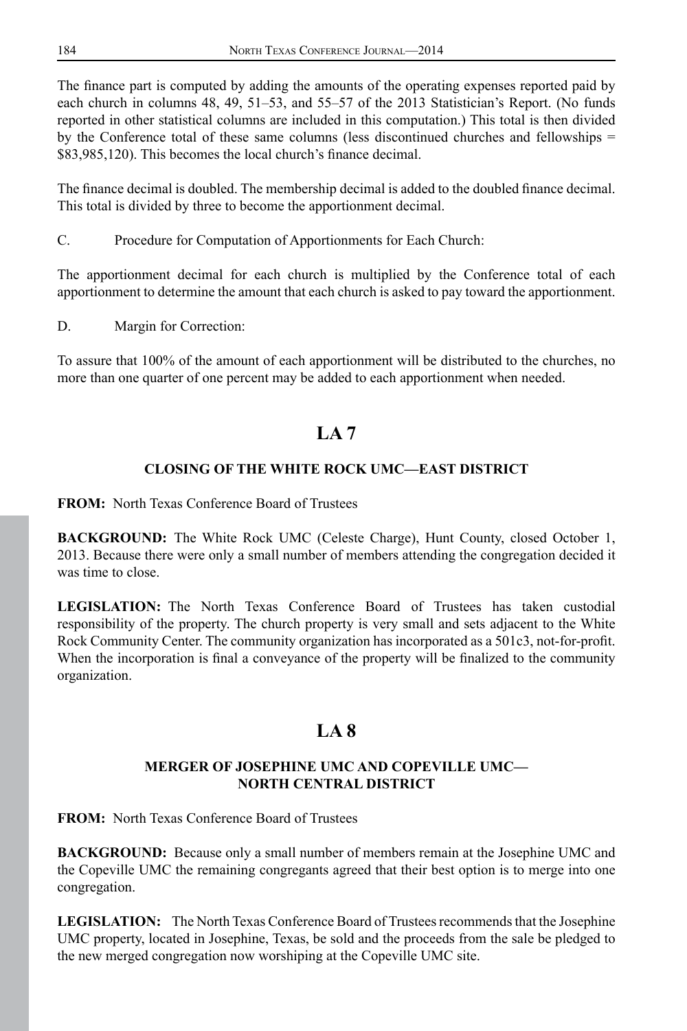The finance part is computed by adding the amounts of the operating expenses reported paid by each church in columns 48, 49, 51–53, and 55–57 of the 2013 Statistician's Report. (No funds reported in other statistical columns are included in this computation.) This total is then divided by the Conference total of these same columns (less discontinued churches and fellowships = \$83,985,120). This becomes the local church's finance decimal.

The finance decimal is doubled. The membership decimal is added to the doubled finance decimal. This total is divided by three to become the apportionment decimal.

C. Procedure for Computation of Apportionments for Each Church:

The apportionment decimal for each church is multiplied by the Conference total of each apportionment to determine the amount that each church is asked to pay toward the apportionment.

D. Margin for Correction:

To assure that 100% of the amount of each apportionment will be distributed to the churches, no more than one quarter of one percent may be added to each apportionment when needed.

# **LA 7**

# **CLOSING OF THE WHITE ROCK UMC—EAST DISTRICT**

**FROM:** North Texas Conference Board of Trustees

**BACKGROUND:** The White Rock UMC (Celeste Charge), Hunt County, closed October 1, 2013. Because there were only a small number of members attending the congregation decided it was time to close.

**LEGISLATION:** The North Texas Conference Board of Trustees has taken custodial responsibility of the property. The church property is very small and sets adjacent to the White Rock Community Center. The community organization has incorporated as a 501c3, not-for-profit. When the incorporation is final a conveyance of the property will be finalized to the community organization.

# **LA 8**

## **MERGER OF JOSEPHINE UMC AND COPEVILLE UMC— NORTH CENTRAL DISTRICT**

**FROM:** North Texas Conference Board of Trustees

**BACKGROUND:** Because only a small number of members remain at the Josephine UMC and the Copeville UMC the remaining congregants agreed that their best option is to merge into one congregation.

**LEGISLATION:** The North Texas Conference Board of Trustees recommends that the Josephine UMC property, located in Josephine, Texas, be sold and the proceeds from the sale be pledged to the new merged congregation now worshiping at the Copeville UMC site.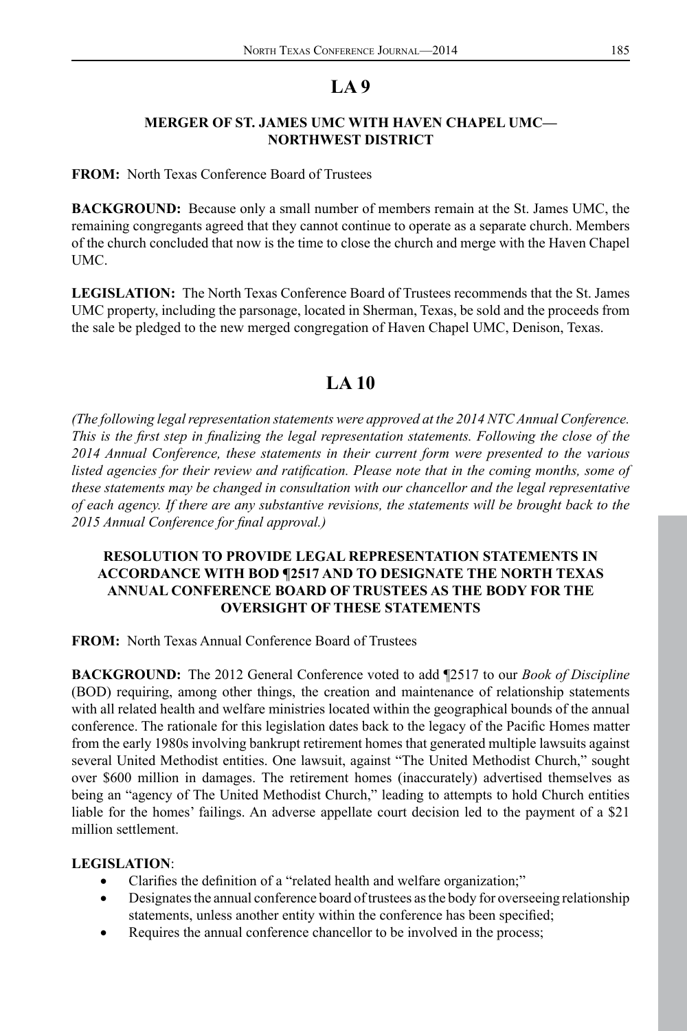#### **MERGER OF ST. JAMES UMC WITH HAVEN CHAPEL UMC— NORTHWEST DISTRICT**

**FROM:** North Texas Conference Board of Trustees

**BACKGROUND:** Because only a small number of members remain at the St. James UMC, the remaining congregants agreed that they cannot continue to operate as a separate church. Members of the church concluded that now is the time to close the church and merge with the Haven Chapel UMC.

**LEGISLATION:** The North Texas Conference Board of Trustees recommends that the St. James UMC property, including the parsonage, located in Sherman, Texas, be sold and the proceeds from the sale be pledged to the new merged congregation of Haven Chapel UMC, Denison, Texas.

# **LA 10**

*(The following legal representation statements were approved at the 2014 NTC Annual Conference. This is the first step in finalizing the legal representation statements. Following the close of the 2014 Annual Conference, these statements in their current form were presented to the various listed agencies for their review and ratification. Please note that in the coming months, some of these statements may be changed in consultation with our chancellor and the legal representative of each agency. If there are any substantive revisions, the statements will be brought back to the 2015 Annual Conference for final approval.)*

#### **RESOLUTION TO PROVIDE LEGAL REPRESENTATION STATEMENTS IN ACCORDANCE WITH BOD ¶2517 AND TO DESIGNATE THE NORTH TEXAS ANNUAL CONFERENCE BOARD OF TRUSTEES AS THE BODY FOR THE OVERSIGHT OF THESE STATEMENTS**

**FROM:** North Texas Annual Conference Board of Trustees

**BACKGROUND:** The 2012 General Conference voted to add ¶2517 to our *Book of Discipline* (BOD) requiring, among other things, the creation and maintenance of relationship statements with all related health and welfare ministries located within the geographical bounds of the annual conference. The rationale for this legislation dates back to the legacy of the Pacific Homes matter from the early 1980s involving bankrupt retirement homes that generated multiple lawsuits against several United Methodist entities. One lawsuit, against "The United Methodist Church," sought over \$600 million in damages. The retirement homes (inaccurately) advertised themselves as being an "agency of The United Methodist Church," leading to attempts to hold Church entities liable for the homes' failings. An adverse appellate court decision led to the payment of a \$21 million settlement.

#### **LEGISLATION**:

- Clarifies the definition of a "related health and welfare organization;"
- Designates the annual conference board of trustees as the body for overseeing relationship statements, unless another entity within the conference has been specified;
- Requires the annual conference chancellor to be involved in the process;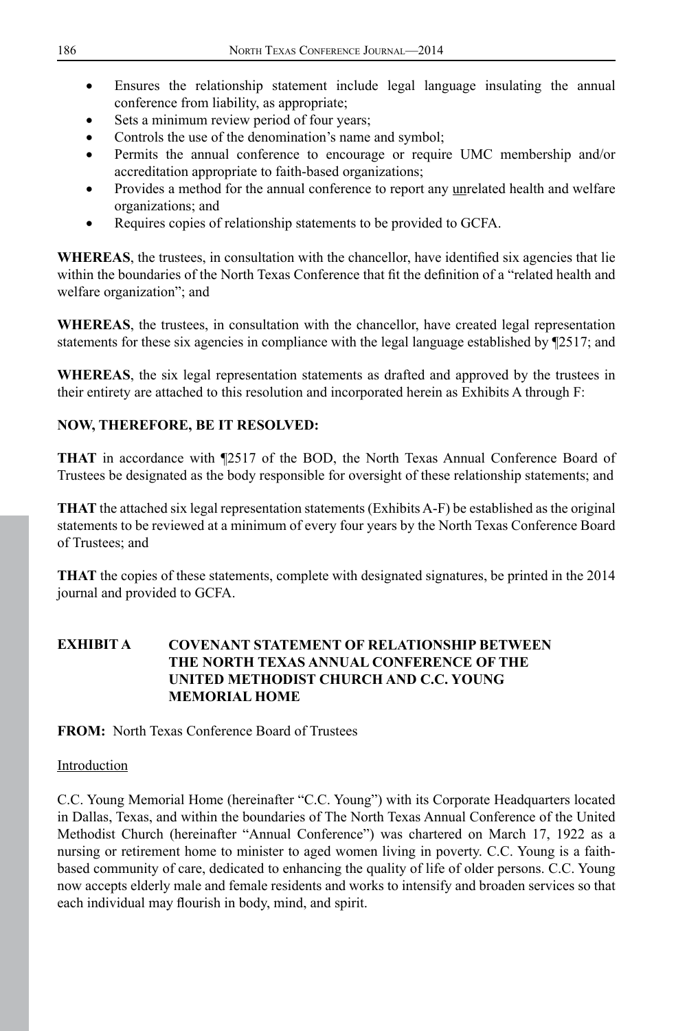- Ensures the relationship statement include legal language insulating the annual conference from liability, as appropriate;
- Sets a minimum review period of four years;
- Controls the use of the denomination's name and symbol;
- Permits the annual conference to encourage or require UMC membership and/or accreditation appropriate to faith-based organizations;
- Provides a method for the annual conference to report any unrelated health and welfare organizations; and
- Requires copies of relationship statements to be provided to GCFA.

WHEREAS, the trustees, in consultation with the chancellor, have identified six agencies that lie within the boundaries of the North Texas Conference that fit the definition of a "related health and welfare organization"; and

**WHEREAS**, the trustees, in consultation with the chancellor, have created legal representation statements for these six agencies in compliance with the legal language established by ¶2517; and

**WHEREAS**, the six legal representation statements as drafted and approved by the trustees in their entirety are attached to this resolution and incorporated herein as Exhibits A through F:

# **NOW, THEREFORE, BE IT RESOLVED:**

**THAT** in accordance with ¶2517 of the BOD, the North Texas Annual Conference Board of Trustees be designated as the body responsible for oversight of these relationship statements; and

**THAT** the attached six legal representation statements (Exhibits A-F) be established as the original statements to be reviewed at a minimum of every four years by the North Texas Conference Board of Trustees; and

**THAT** the copies of these statements, complete with designated signatures, be printed in the 2014 journal and provided to GCFA.

# **EXHIBIT A COVENANT STATEMENT OF RELATIONSHIP BETWEEN THE NORTH TEXAS ANNUAL CONFERENCE OF THE UNITED METHODIST CHURCH AND C.C. YOUNG MEMORIAL HOME**

**FROM:** North Texas Conference Board of Trustees

#### Introduction

C.C. Young Memorial Home (hereinafter "C.C. Young") with its Corporate Headquarters located in Dallas, Texas, and within the boundaries of The North Texas Annual Conference of the United Methodist Church (hereinafter "Annual Conference") was chartered on March 17, 1922 as a nursing or retirement home to minister to aged women living in poverty. C.C. Young is a faithbased community of care, dedicated to enhancing the quality of life of older persons. C.C. Young now accepts elderly male and female residents and works to intensify and broaden services so that each individual may flourish in body, mind, and spirit.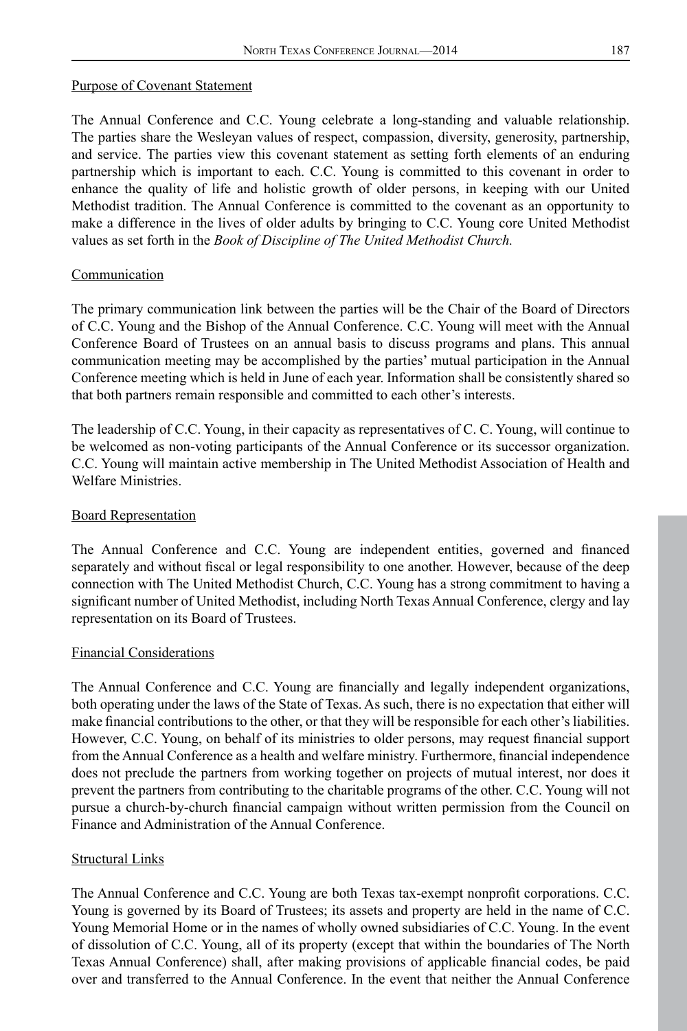#### Purpose of Covenant Statement

The Annual Conference and C.C. Young celebrate a long-standing and valuable relationship. The parties share the Wesleyan values of respect, compassion, diversity, generosity, partnership, and service. The parties view this covenant statement as setting forth elements of an enduring partnership which is important to each. C.C. Young is committed to this covenant in order to enhance the quality of life and holistic growth of older persons, in keeping with our United Methodist tradition. The Annual Conference is committed to the covenant as an opportunity to make a difference in the lives of older adults by bringing to C.C. Young core United Methodist values as set forth in the *Book of Discipline of The United Methodist Church.*

#### Communication

The primary communication link between the parties will be the Chair of the Board of Directors of C.C. Young and the Bishop of the Annual Conference. C.C. Young will meet with the Annual Conference Board of Trustees on an annual basis to discuss programs and plans. This annual communication meeting may be accomplished by the parties' mutual participation in the Annual Conference meeting which is held in June of each year. Information shall be consistently shared so that both partners remain responsible and committed to each other's interests.

The leadership of C.C. Young, in their capacity as representatives of C. C. Young, will continue to be welcomed as non-voting participants of the Annual Conference or its successor organization. C.C. Young will maintain active membership in The United Methodist Association of Health and Welfare Ministries.

#### Board Representation

The Annual Conference and C.C. Young are independent entities, governed and financed separately and without fiscal or legal responsibility to one another. However, because of the deep connection with The United Methodist Church, C.C. Young has a strong commitment to having a significant number of United Methodist, including North Texas Annual Conference, clergy and lay representation on its Board of Trustees.

#### Financial Considerations

The Annual Conference and C.C. Young are financially and legally independent organizations, both operating under the laws of the State of Texas. As such, there is no expectation that either will make financial contributions to the other, or that they will be responsible for each other's liabilities. However, C.C. Young, on behalf of its ministries to older persons, may request financial support from the Annual Conference as a health and welfare ministry. Furthermore, financial independence does not preclude the partners from working together on projects of mutual interest, nor does it prevent the partners from contributing to the charitable programs of the other. C.C. Young will not pursue a church-by-church financial campaign without written permission from the Council on Finance and Administration of the Annual Conference.

#### Structural Links

The Annual Conference and C.C. Young are both Texas tax-exempt nonprofit corporations. C.C. Young is governed by its Board of Trustees; its assets and property are held in the name of C.C. Young Memorial Home or in the names of wholly owned subsidiaries of C.C. Young. In the event of dissolution of C.C. Young, all of its property (except that within the boundaries of The North Texas Annual Conference) shall, after making provisions of applicable financial codes, be paid over and transferred to the Annual Conference. In the event that neither the Annual Conference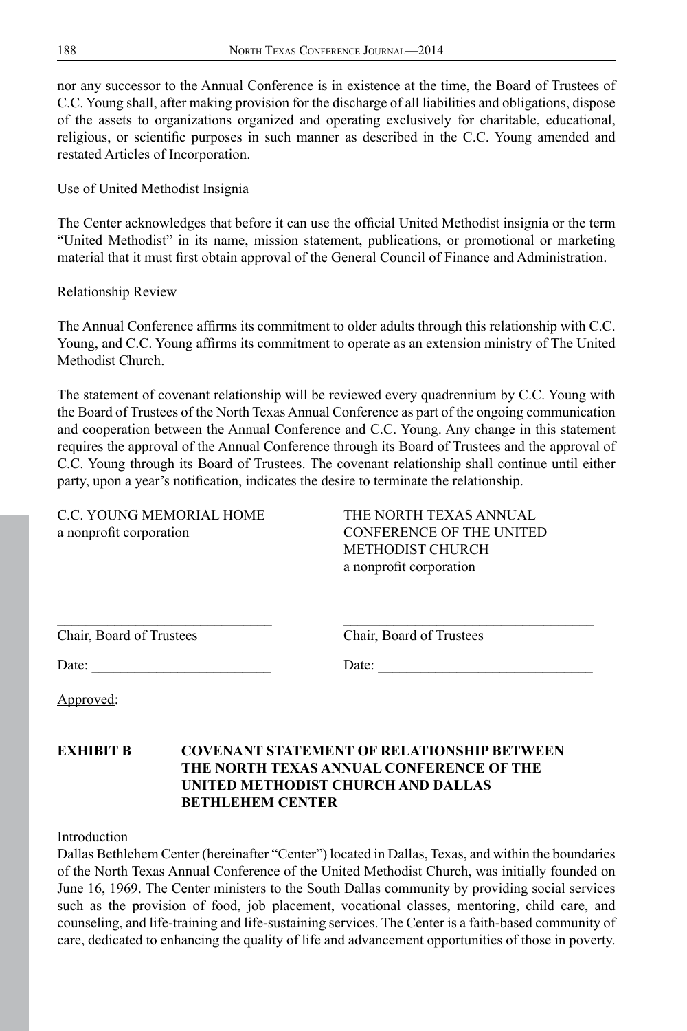nor any successor to the Annual Conference is in existence at the time, the Board of Trustees of C.C. Young shall, after making provision for the discharge of all liabilities and obligations, dispose of the assets to organizations organized and operating exclusively for charitable, educational, religious, or scientific purposes in such manner as described in the C.C. Young amended and restated Articles of Incorporation.

#### Use of United Methodist Insignia

The Center acknowledges that before it can use the official United Methodist insignia or the term "United Methodist" in its name, mission statement, publications, or promotional or marketing material that it must first obtain approval of the General Council of Finance and Administration.

#### Relationship Review

The Annual Conference affirms its commitment to older adults through this relationship with C.C. Young, and C.C. Young affirms its commitment to operate as an extension ministry of The United Methodist Church.

The statement of covenant relationship will be reviewed every quadrennium by C.C. Young with the Board of Trustees of the North Texas Annual Conference as part of the ongoing communication and cooperation between the Annual Conference and C.C. Young. Any change in this statement requires the approval of the Annual Conference through its Board of Trustees and the approval of C.C. Young through its Board of Trustees. The covenant relationship shall continue until either party, upon a year's notification, indicates the desire to terminate the relationship.

C.C. YOUNG MEMORIAL HOME THE NORTH TEXAS ANNUAL a nonprofit corporation CONFERENCE OF THE UNITED

METHODIST CHURCH a nonprofit corporation

| Chair, Board of Trustees | Chair. Board of Trustees |
|--------------------------|--------------------------|

Chair, Board of Trustees

Date: \_\_\_\_\_\_\_\_\_\_\_\_\_\_\_\_\_\_\_\_\_\_\_\_\_ Date: \_\_\_\_\_\_\_\_\_\_\_\_\_\_\_\_\_\_\_\_\_\_\_\_\_\_\_\_\_\_

Approved:

# **EXHIBIT B COVENANT STATEMENT OF RELATIONSHIP BETWEEN THE NORTH TEXAS ANNUAL CONFERENCE OF THE UNITED METHODIST CHURCH AND DALLAS BETHLEHEM CENTER**

Introduction

Dallas Bethlehem Center (hereinafter "Center") located in Dallas, Texas, and within the boundaries of the North Texas Annual Conference of the United Methodist Church, was initially founded on June 16, 1969. The Center ministers to the South Dallas community by providing social services such as the provision of food, job placement, vocational classes, mentoring, child care, and counseling, and life-training and life-sustaining services. The Center is a faith-based community of care, dedicated to enhancing the quality of life and advancement opportunities of those in poverty.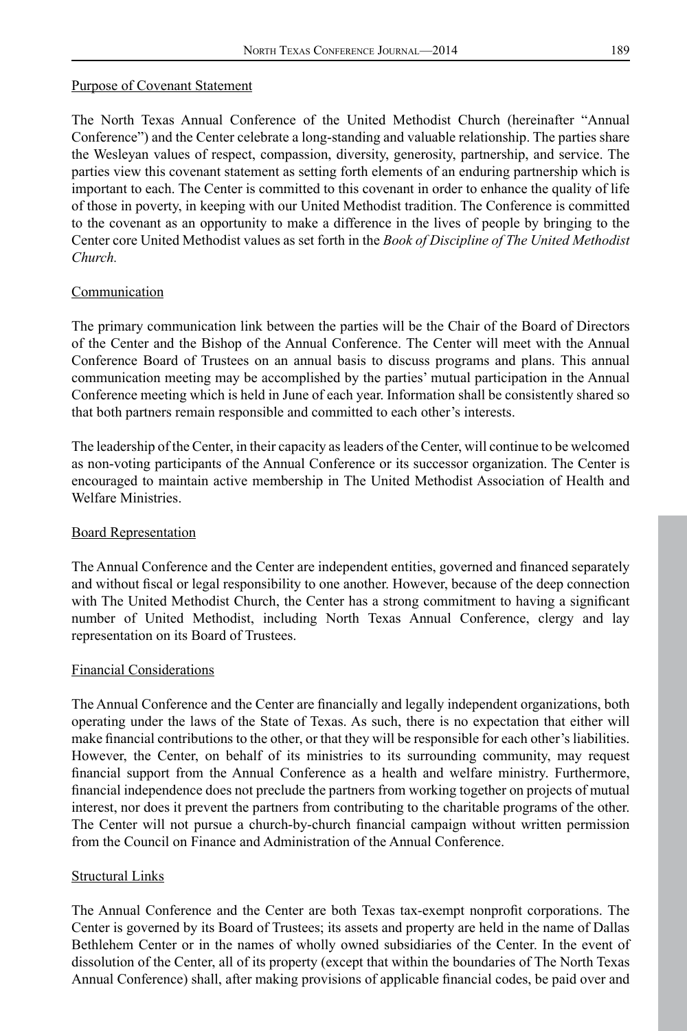#### Purpose of Covenant Statement

The North Texas Annual Conference of the United Methodist Church (hereinafter "Annual Conference") and the Center celebrate a long-standing and valuable relationship. The parties share the Wesleyan values of respect, compassion, diversity, generosity, partnership, and service. The parties view this covenant statement as setting forth elements of an enduring partnership which is important to each. The Center is committed to this covenant in order to enhance the quality of life of those in poverty, in keeping with our United Methodist tradition. The Conference is committed to the covenant as an opportunity to make a difference in the lives of people by bringing to the Center core United Methodist values as set forth in the *Book of Discipline of The United Methodist Church.*

#### Communication

The primary communication link between the parties will be the Chair of the Board of Directors of the Center and the Bishop of the Annual Conference. The Center will meet with the Annual Conference Board of Trustees on an annual basis to discuss programs and plans. This annual communication meeting may be accomplished by the parties' mutual participation in the Annual Conference meeting which is held in June of each year. Information shall be consistently shared so that both partners remain responsible and committed to each other's interests.

The leadership of the Center, in their capacity as leaders of the Center, will continue to be welcomed as non-voting participants of the Annual Conference or its successor organization. The Center is encouraged to maintain active membership in The United Methodist Association of Health and Welfare Ministries.

#### Board Representation

The Annual Conference and the Center are independent entities, governed and financed separately and without fiscal or legal responsibility to one another. However, because of the deep connection with The United Methodist Church, the Center has a strong commitment to having a significant number of United Methodist, including North Texas Annual Conference, clergy and lay representation on its Board of Trustees.

#### Financial Considerations

The Annual Conference and the Center are financially and legally independent organizations, both operating under the laws of the State of Texas. As such, there is no expectation that either will make financial contributions to the other, or that they will be responsible for each other's liabilities. However, the Center, on behalf of its ministries to its surrounding community, may request financial support from the Annual Conference as a health and welfare ministry. Furthermore, financial independence does not preclude the partners from working together on projects of mutual interest, nor does it prevent the partners from contributing to the charitable programs of the other. The Center will not pursue a church-by-church financial campaign without written permission from the Council on Finance and Administration of the Annual Conference.

#### Structural Links

The Annual Conference and the Center are both Texas tax-exempt nonprofit corporations. The Center is governed by its Board of Trustees; its assets and property are held in the name of Dallas Bethlehem Center or in the names of wholly owned subsidiaries of the Center. In the event of dissolution of the Center, all of its property (except that within the boundaries of The North Texas Annual Conference) shall, after making provisions of applicable financial codes, be paid over and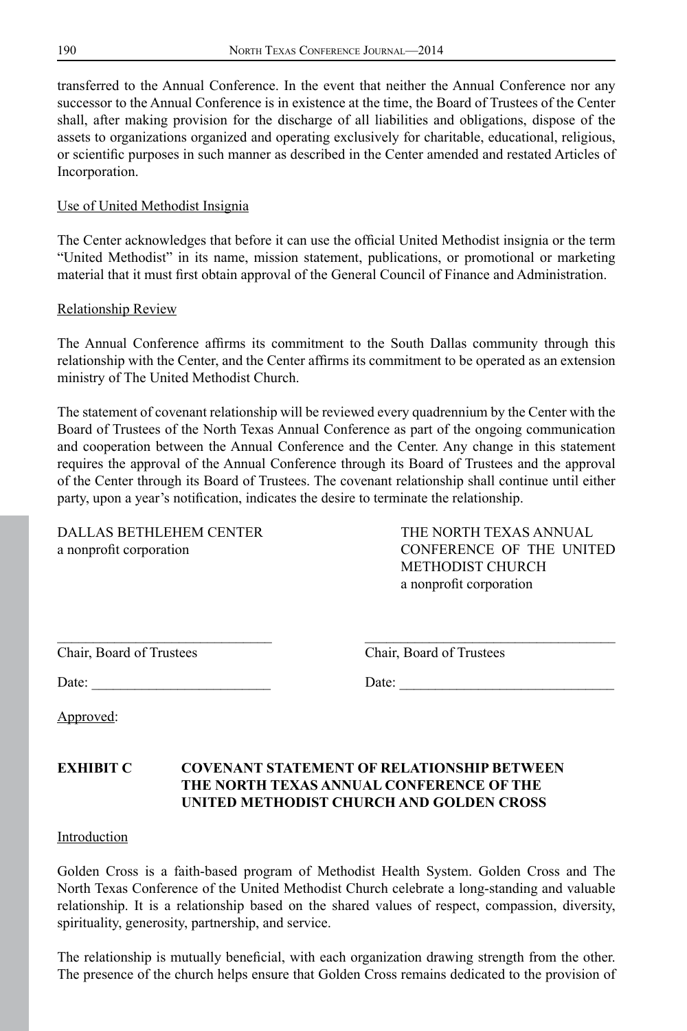transferred to the Annual Conference. In the event that neither the Annual Conference nor any successor to the Annual Conference is in existence at the time, the Board of Trustees of the Center shall, after making provision for the discharge of all liabilities and obligations, dispose of the assets to organizations organized and operating exclusively for charitable, educational, religious, or scientific purposes in such manner as described in the Center amended and restated Articles of Incorporation.

#### Use of United Methodist Insignia

The Center acknowledges that before it can use the official United Methodist insignia or the term "United Methodist" in its name, mission statement, publications, or promotional or marketing material that it must first obtain approval of the General Council of Finance and Administration.

#### Relationship Review

The Annual Conference affirms its commitment to the South Dallas community through this relationship with the Center, and the Center affirms its commitment to be operated as an extension ministry of The United Methodist Church.

The statement of covenant relationship will be reviewed every quadrennium by the Center with the Board of Trustees of the North Texas Annual Conference as part of the ongoing communication and cooperation between the Annual Conference and the Center. Any change in this statement requires the approval of the Annual Conference through its Board of Trustees and the approval of the Center through its Board of Trustees. The covenant relationship shall continue until either party, upon a year's notification, indicates the desire to terminate the relationship.

\_\_\_\_\_\_\_\_\_\_\_\_\_\_\_\_\_\_\_\_\_\_\_\_\_\_\_\_\_\_ \_\_\_\_\_\_\_\_\_\_\_\_\_\_\_\_\_\_\_\_\_\_\_\_\_\_\_\_\_\_\_\_\_\_\_

DALLAS BETHLEHEM CENTER THE NORTH TEXAS ANNUAL a nonprofit corporation CONFERENCE OF THE UNITED METHODIST CHURCH a nonprofit corporation

|  |  |  | Chair, Board of Trustees |
|--|--|--|--------------------------|
|--|--|--|--------------------------|

Chair, Board of Trustees

Date: \_\_\_\_\_\_\_\_\_\_\_\_\_\_\_\_\_\_\_\_\_\_\_\_\_ Date: \_\_\_\_\_\_\_\_\_\_\_\_\_\_\_\_\_\_\_\_\_\_\_\_\_\_\_\_\_\_

Approved:

## **EXHIBIT C COVENANT STATEMENT OF RELATIONSHIP BETWEEN THE NORTH TEXAS ANNUAL CONFERENCE OF THE UNITED METHODIST CHURCH AND GOLDEN CROSS**

#### Introduction

Golden Cross is a faith-based program of Methodist Health System. Golden Cross and The North Texas Conference of the United Methodist Church celebrate a long-standing and valuable relationship. It is a relationship based on the shared values of respect, compassion, diversity, spirituality, generosity, partnership, and service.

The relationship is mutually beneficial, with each organization drawing strength from the other. The presence of the church helps ensure that Golden Cross remains dedicated to the provision of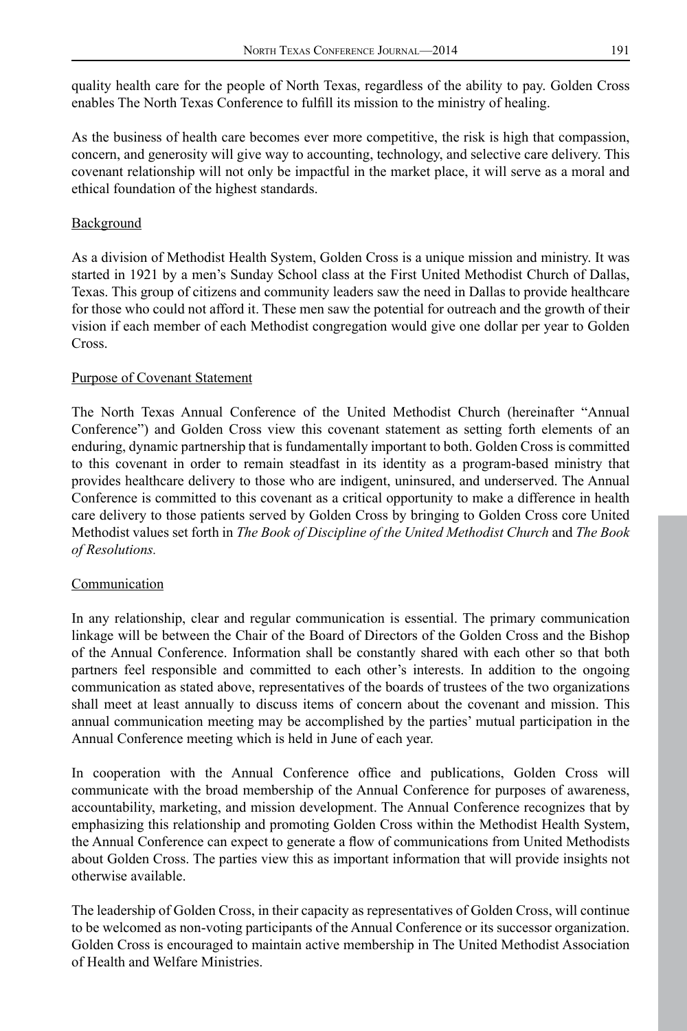quality health care for the people of North Texas, regardless of the ability to pay. Golden Cross enables The North Texas Conference to fulfill its mission to the ministry of healing.

As the business of health care becomes ever more competitive, the risk is high that compassion, concern, and generosity will give way to accounting, technology, and selective care delivery. This covenant relationship will not only be impactful in the market place, it will serve as a moral and ethical foundation of the highest standards.

## **Background**

As a division of Methodist Health System, Golden Cross is a unique mission and ministry. It was started in 1921 by a men's Sunday School class at the First United Methodist Church of Dallas, Texas. This group of citizens and community leaders saw the need in Dallas to provide healthcare for those who could not afford it. These men saw the potential for outreach and the growth of their vision if each member of each Methodist congregation would give one dollar per year to Golden Cross.

#### Purpose of Covenant Statement

The North Texas Annual Conference of the United Methodist Church (hereinafter "Annual Conference") and Golden Cross view this covenant statement as setting forth elements of an enduring, dynamic partnership that is fundamentally important to both. Golden Cross is committed to this covenant in order to remain steadfast in its identity as a program-based ministry that provides healthcare delivery to those who are indigent, uninsured, and underserved. The Annual Conference is committed to this covenant as a critical opportunity to make a difference in health care delivery to those patients served by Golden Cross by bringing to Golden Cross core United Methodist values set forth in *The Book of Discipline of the United Methodist Church* and *The Book of Resolutions.*

#### Communication

In any relationship, clear and regular communication is essential. The primary communication linkage will be between the Chair of the Board of Directors of the Golden Cross and the Bishop of the Annual Conference. Information shall be constantly shared with each other so that both partners feel responsible and committed to each other's interests. In addition to the ongoing communication as stated above, representatives of the boards of trustees of the two organizations shall meet at least annually to discuss items of concern about the covenant and mission. This annual communication meeting may be accomplished by the parties' mutual participation in the Annual Conference meeting which is held in June of each year.

In cooperation with the Annual Conference office and publications, Golden Cross will communicate with the broad membership of the Annual Conference for purposes of awareness, accountability, marketing, and mission development. The Annual Conference recognizes that by emphasizing this relationship and promoting Golden Cross within the Methodist Health System, the Annual Conference can expect to generate a flow of communications from United Methodists about Golden Cross. The parties view this as important information that will provide insights not otherwise available.

The leadership of Golden Cross, in their capacity as representatives of Golden Cross, will continue to be welcomed as non-voting participants of the Annual Conference or its successor organization. Golden Cross is encouraged to maintain active membership in The United Methodist Association of Health and Welfare Ministries.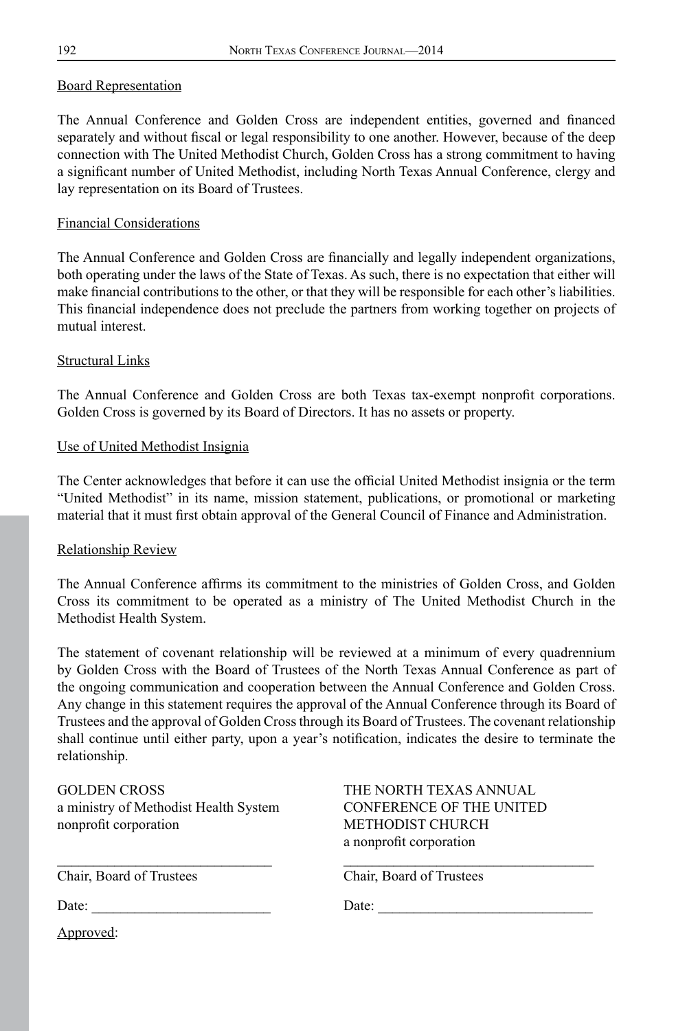#### Board Representation

The Annual Conference and Golden Cross are independent entities, governed and financed separately and without fiscal or legal responsibility to one another. However, because of the deep connection with The United Methodist Church, Golden Cross has a strong commitment to having a significant number of United Methodist, including North Texas Annual Conference, clergy and lay representation on its Board of Trustees.

#### Financial Considerations

The Annual Conference and Golden Cross are financially and legally independent organizations, both operating under the laws of the State of Texas. As such, there is no expectation that either will make financial contributions to the other, or that they will be responsible for each other's liabilities. This financial independence does not preclude the partners from working together on projects of mutual interest.

#### Structural Links

The Annual Conference and Golden Cross are both Texas tax-exempt nonprofit corporations. Golden Cross is governed by its Board of Directors. It has no assets or property.

#### Use of United Methodist Insignia

The Center acknowledges that before it can use the official United Methodist insignia or the term "United Methodist" in its name, mission statement, publications, or promotional or marketing material that it must first obtain approval of the General Council of Finance and Administration.

#### Relationship Review

The Annual Conference affirms its commitment to the ministries of Golden Cross, and Golden Cross its commitment to be operated as a ministry of The United Methodist Church in the Methodist Health System.

The statement of covenant relationship will be reviewed at a minimum of every quadrennium by Golden Cross with the Board of Trustees of the North Texas Annual Conference as part of the ongoing communication and cooperation between the Annual Conference and Golden Cross. Any change in this statement requires the approval of the Annual Conference through its Board of Trustees and the approval of Golden Cross through its Board of Trustees. The covenant relationship shall continue until either party, upon a year's notification, indicates the desire to terminate the relationship.

GOLDEN CROSS THE NORTH TEXAS ANNUAL a ministry of Methodist Health System CONFERENCE OF THE UNITED nonprofit corporation METHODIST CHURCH

a nonprofit corporation

Chair, Board of Trustees Chair, Board of Trustees

Date: \_\_\_\_\_\_\_\_\_\_\_\_\_\_\_\_\_\_\_\_\_\_\_\_\_ Date: \_\_\_\_\_\_\_\_\_\_\_\_\_\_\_\_\_\_\_\_\_\_\_\_\_\_\_\_\_\_

Approved: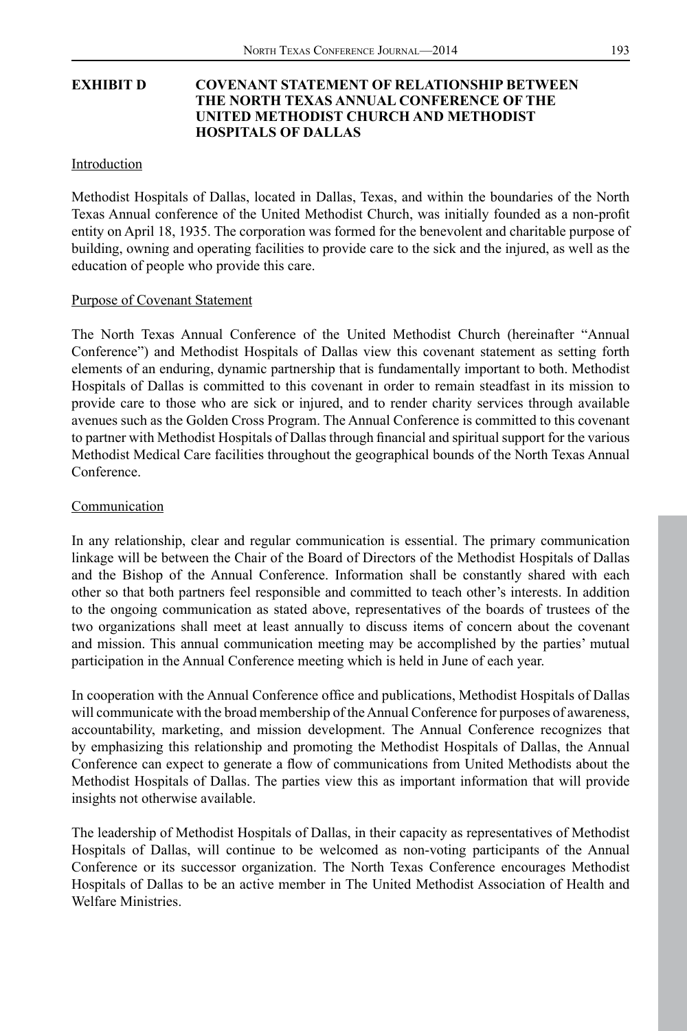#### **EXHIBIT D COVENANT STATEMENT OF RELATIONSHIP BETWEEN THE NORTH TEXAS ANNUAL CONFERENCE OF THE UNITED METHODIST CHURCH AND METHODIST HOSPITALS OF DALLAS**

#### Introduction

Methodist Hospitals of Dallas, located in Dallas, Texas, and within the boundaries of the North Texas Annual conference of the United Methodist Church, was initially founded as a non-profit entity on April 18, 1935. The corporation was formed for the benevolent and charitable purpose of building, owning and operating facilities to provide care to the sick and the injured, as well as the education of people who provide this care.

#### Purpose of Covenant Statement

The North Texas Annual Conference of the United Methodist Church (hereinafter "Annual Conference") and Methodist Hospitals of Dallas view this covenant statement as setting forth elements of an enduring, dynamic partnership that is fundamentally important to both. Methodist Hospitals of Dallas is committed to this covenant in order to remain steadfast in its mission to provide care to those who are sick or injured, and to render charity services through available avenues such as the Golden Cross Program. The Annual Conference is committed to this covenant to partner with Methodist Hospitals of Dallas through financial and spiritual support for the various Methodist Medical Care facilities throughout the geographical bounds of the North Texas Annual Conference.

#### Communication

In any relationship, clear and regular communication is essential. The primary communication linkage will be between the Chair of the Board of Directors of the Methodist Hospitals of Dallas and the Bishop of the Annual Conference. Information shall be constantly shared with each other so that both partners feel responsible and committed to teach other's interests. In addition to the ongoing communication as stated above, representatives of the boards of trustees of the two organizations shall meet at least annually to discuss items of concern about the covenant and mission. This annual communication meeting may be accomplished by the parties' mutual participation in the Annual Conference meeting which is held in June of each year.

In cooperation with the Annual Conference office and publications, Methodist Hospitals of Dallas will communicate with the broad membership of the Annual Conference for purposes of awareness, accountability, marketing, and mission development. The Annual Conference recognizes that by emphasizing this relationship and promoting the Methodist Hospitals of Dallas, the Annual Conference can expect to generate a flow of communications from United Methodists about the Methodist Hospitals of Dallas. The parties view this as important information that will provide insights not otherwise available.

The leadership of Methodist Hospitals of Dallas, in their capacity as representatives of Methodist Hospitals of Dallas, will continue to be welcomed as non-voting participants of the Annual Conference or its successor organization. The North Texas Conference encourages Methodist Hospitals of Dallas to be an active member in The United Methodist Association of Health and Welfare Ministries.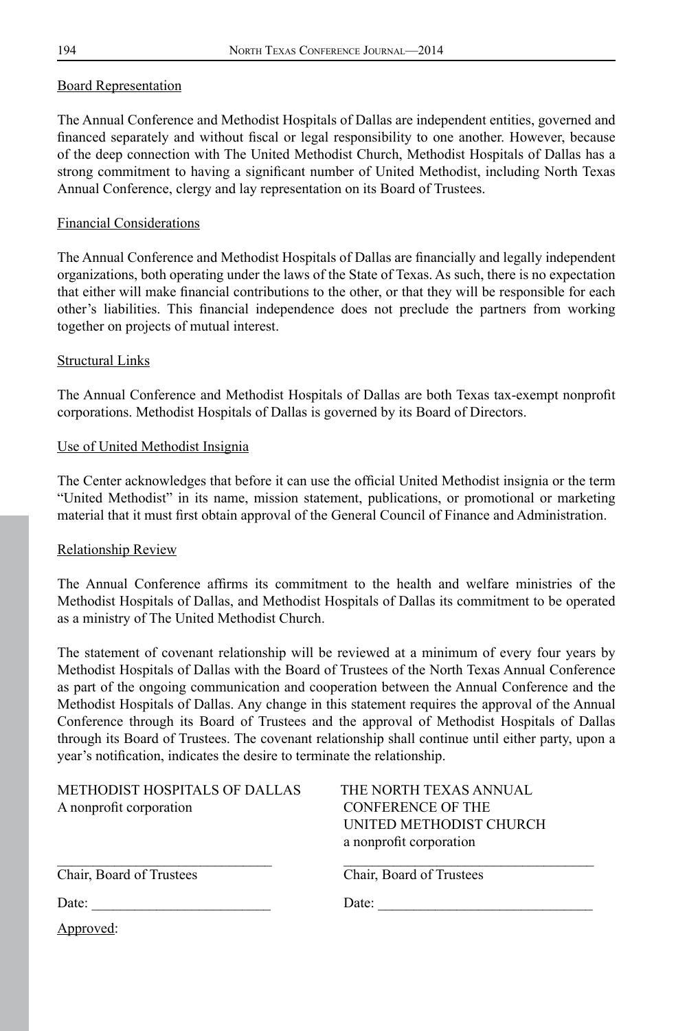#### Board Representation

The Annual Conference and Methodist Hospitals of Dallas are independent entities, governed and financed separately and without fiscal or legal responsibility to one another. However, because of the deep connection with The United Methodist Church, Methodist Hospitals of Dallas has a strong commitment to having a significant number of United Methodist, including North Texas Annual Conference, clergy and lay representation on its Board of Trustees.

#### Financial Considerations

The Annual Conference and Methodist Hospitals of Dallas are financially and legally independent organizations, both operating under the laws of the State of Texas. As such, there is no expectation that either will make financial contributions to the other, or that they will be responsible for each other's liabilities. This financial independence does not preclude the partners from working together on projects of mutual interest.

#### Structural Links

The Annual Conference and Methodist Hospitals of Dallas are both Texas tax-exempt nonprofit corporations. Methodist Hospitals of Dallas is governed by its Board of Directors.

#### Use of United Methodist Insignia

The Center acknowledges that before it can use the official United Methodist insignia or the term "United Methodist" in its name, mission statement, publications, or promotional or marketing material that it must first obtain approval of the General Council of Finance and Administration.

#### Relationship Review

The Annual Conference affirms its commitment to the health and welfare ministries of the Methodist Hospitals of Dallas, and Methodist Hospitals of Dallas its commitment to be operated as a ministry of The United Methodist Church.

The statement of covenant relationship will be reviewed at a minimum of every four years by Methodist Hospitals of Dallas with the Board of Trustees of the North Texas Annual Conference as part of the ongoing communication and cooperation between the Annual Conference and the Methodist Hospitals of Dallas. Any change in this statement requires the approval of the Annual Conference through its Board of Trustees and the approval of Methodist Hospitals of Dallas through its Board of Trustees. The covenant relationship shall continue until either party, upon a year's notification, indicates the desire to terminate the relationship.

| METHODIST HOSPITALS OF DALLAS | THE NORTH TEXAS ANNUAL   |
|-------------------------------|--------------------------|
| A nonprofit corporation       | <b>CONFERENCE OF THE</b> |
|                               | UNITED METHODIST CHURCH  |
|                               | a nonprofit corporation  |
| Chair, Board of Trustees      | Chair, Board of Trustees |
| Date:                         | Date:                    |
| Approved:                     |                          |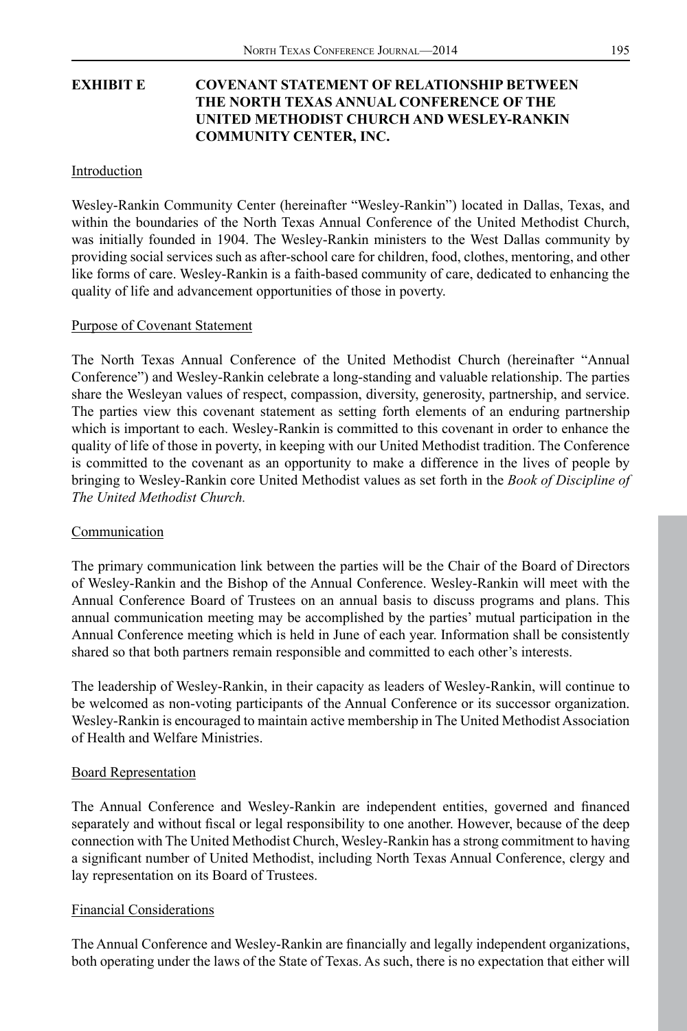# **EXHIBIT E COVENANT STATEMENT OF RELATIONSHIP BETWEEN THE NORTH TEXAS ANNUAL CONFERENCE OF THE UNITED METHODIST CHURCH AND WESLEY-RANKIN COMMUNITY CENTER, INC.**

#### Introduction

Wesley-Rankin Community Center (hereinafter "Wesley-Rankin") located in Dallas, Texas, and within the boundaries of the North Texas Annual Conference of the United Methodist Church, was initially founded in 1904. The Wesley-Rankin ministers to the West Dallas community by providing social services such as after-school care for children, food, clothes, mentoring, and other like forms of care. Wesley-Rankin is a faith-based community of care, dedicated to enhancing the quality of life and advancement opportunities of those in poverty.

#### Purpose of Covenant Statement

The North Texas Annual Conference of the United Methodist Church (hereinafter "Annual Conference") and Wesley-Rankin celebrate a long-standing and valuable relationship. The parties share the Wesleyan values of respect, compassion, diversity, generosity, partnership, and service. The parties view this covenant statement as setting forth elements of an enduring partnership which is important to each. Wesley-Rankin is committed to this covenant in order to enhance the quality of life of those in poverty, in keeping with our United Methodist tradition. The Conference is committed to the covenant as an opportunity to make a difference in the lives of people by bringing to Wesley-Rankin core United Methodist values as set forth in the *Book of Discipline of The United Methodist Church.*

#### Communication

The primary communication link between the parties will be the Chair of the Board of Directors of Wesley-Rankin and the Bishop of the Annual Conference. Wesley-Rankin will meet with the Annual Conference Board of Trustees on an annual basis to discuss programs and plans. This annual communication meeting may be accomplished by the parties' mutual participation in the Annual Conference meeting which is held in June of each year. Information shall be consistently shared so that both partners remain responsible and committed to each other's interests.

The leadership of Wesley-Rankin, in their capacity as leaders of Wesley-Rankin, will continue to be welcomed as non-voting participants of the Annual Conference or its successor organization. Wesley-Rankin is encouraged to maintain active membership in The United Methodist Association of Health and Welfare Ministries.

#### Board Representation

The Annual Conference and Wesley-Rankin are independent entities, governed and financed separately and without fiscal or legal responsibility to one another. However, because of the deep connection with The United Methodist Church, Wesley-Rankin has a strong commitment to having a significant number of United Methodist, including North Texas Annual Conference, clergy and lay representation on its Board of Trustees.

#### Financial Considerations

The Annual Conference and Wesley-Rankin are financially and legally independent organizations, both operating under the laws of the State of Texas. As such, there is no expectation that either will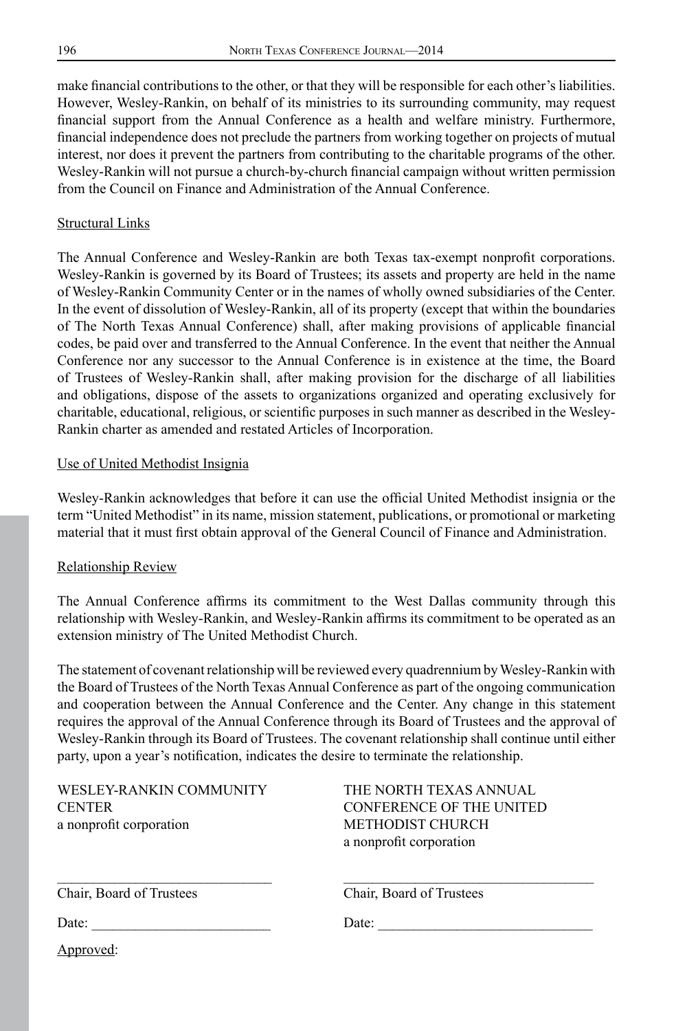make financial contributions to the other, or that they will be responsible for each other's liabilities. However, Wesley-Rankin, on behalf of its ministries to its surrounding community, may request financial support from the Annual Conference as a health and welfare ministry. Furthermore, financial independence does not preclude the partners from working together on projects of mutual interest, nor does it prevent the partners from contributing to the charitable programs of the other. Wesley-Rankin will not pursue a church-by-church financial campaign without written permission from the Council on Finance and Administration of the Annual Conference.

#### Structural Links

The Annual Conference and Wesley-Rankin are both Texas tax-exempt nonprofit corporations. Wesley-Rankin is governed by its Board of Trustees; its assets and property are held in the name of Wesley-Rankin Community Center or in the names of wholly owned subsidiaries of the Center. In the event of dissolution of Wesley-Rankin, all of its property (except that within the boundaries of The North Texas Annual Conference) shall, after making provisions of applicable financial codes, be paid over and transferred to the Annual Conference. In the event that neither the Annual Conference nor any successor to the Annual Conference is in existence at the time, the Board of Trustees of Wesley-Rankin shall, after making provision for the discharge of all liabilities and obligations, dispose of the assets to organizations organized and operating exclusively for charitable, educational, religious, or scientific purposes in such manner as described in the Wesley-Rankin charter as amended and restated Articles of Incorporation.

#### Use of United Methodist Insignia

Wesley-Rankin acknowledges that before it can use the official United Methodist insignia or the term "United Methodist" in its name, mission statement, publications, or promotional or marketing material that it must first obtain approval of the General Council of Finance and Administration.

#### Relationship Review

The Annual Conference affirms its commitment to the West Dallas community through this relationship with Wesley-Rankin, and Wesley-Rankin affirms its commitment to be operated as an extension ministry of The United Methodist Church.

The statement of covenant relationship will be reviewed every quadrennium by Wesley-Rankin with the Board of Trustees of the North Texas Annual Conference as part of the ongoing communication and cooperation between the Annual Conference and the Center. Any change in this statement requires the approval of the Annual Conference through its Board of Trustees and the approval of Wesley-Rankin through its Board of Trustees. The covenant relationship shall continue until either party, upon a year's notification, indicates the desire to terminate the relationship.

\_\_\_\_\_\_\_\_\_\_\_\_\_\_\_\_\_\_\_\_\_\_\_\_\_\_\_\_\_\_ \_\_\_\_\_\_\_\_\_\_\_\_\_\_\_\_\_\_\_\_\_\_\_\_\_\_\_\_\_\_\_\_\_\_\_

| WESLEY-RANKIN COMMUNITY |
|-------------------------|
| <b>CENTER</b>           |
| a nonprofit corporation |

THE NORTH TEXAS ANNUAL CONFERENCE OF THE UNITED METHODIST CHURCH a nonprofit corporation

Chair, Board of Trustees Chair, Board of Trustees

Date: \_\_\_\_\_\_\_\_\_\_\_\_\_\_\_\_\_\_\_\_\_\_\_\_\_ Date: \_\_\_\_\_\_\_\_\_\_\_\_\_\_\_\_\_\_\_\_\_\_\_\_\_\_\_\_\_\_

Approved: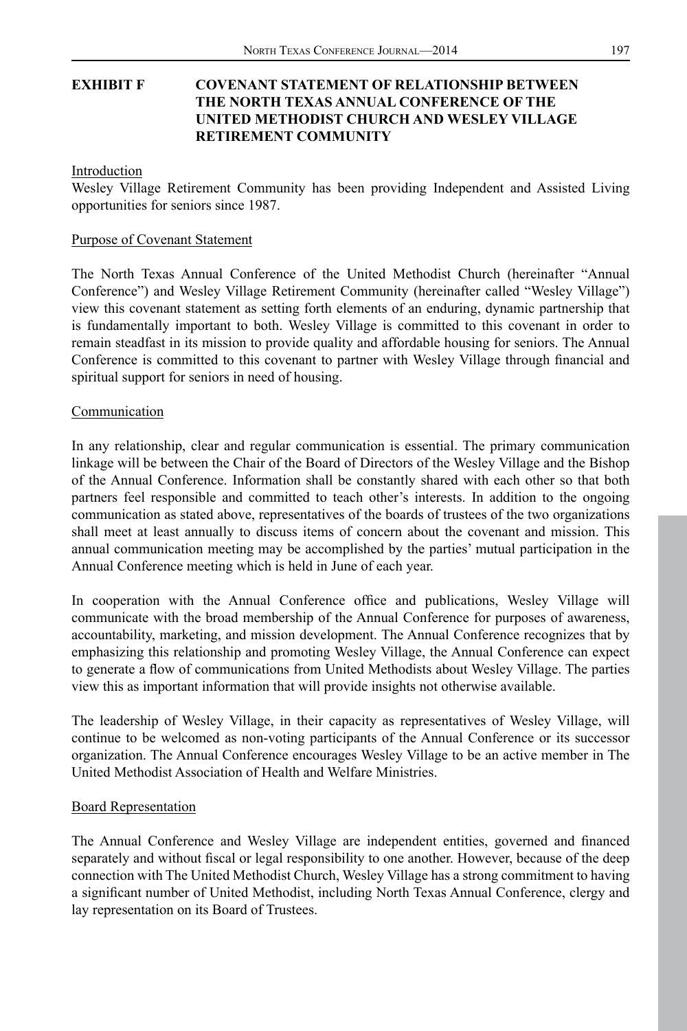## **EXHIBIT F COVENANT STATEMENT OF RELATIONSHIP BETWEEN THE NORTH TEXAS ANNUAL CONFERENCE OF THE UNITED METHODIST CHURCH AND WESLEY VILLAGE RETIREMENT COMMUNITY**

Introduction

Wesley Village Retirement Community has been providing Independent and Assisted Living opportunities for seniors since 1987.

#### Purpose of Covenant Statement

The North Texas Annual Conference of the United Methodist Church (hereinafter "Annual Conference") and Wesley Village Retirement Community (hereinafter called "Wesley Village") view this covenant statement as setting forth elements of an enduring, dynamic partnership that is fundamentally important to both. Wesley Village is committed to this covenant in order to remain steadfast in its mission to provide quality and affordable housing for seniors. The Annual Conference is committed to this covenant to partner with Wesley Village through financial and spiritual support for seniors in need of housing.

#### Communication

In any relationship, clear and regular communication is essential. The primary communication linkage will be between the Chair of the Board of Directors of the Wesley Village and the Bishop of the Annual Conference. Information shall be constantly shared with each other so that both partners feel responsible and committed to teach other's interests. In addition to the ongoing communication as stated above, representatives of the boards of trustees of the two organizations shall meet at least annually to discuss items of concern about the covenant and mission. This annual communication meeting may be accomplished by the parties' mutual participation in the Annual Conference meeting which is held in June of each year.

In cooperation with the Annual Conference office and publications, Wesley Village will communicate with the broad membership of the Annual Conference for purposes of awareness, accountability, marketing, and mission development. The Annual Conference recognizes that by emphasizing this relationship and promoting Wesley Village, the Annual Conference can expect to generate a flow of communications from United Methodists about Wesley Village. The parties view this as important information that will provide insights not otherwise available.

The leadership of Wesley Village, in their capacity as representatives of Wesley Village, will continue to be welcomed as non-voting participants of the Annual Conference or its successor organization. The Annual Conference encourages Wesley Village to be an active member in The United Methodist Association of Health and Welfare Ministries.

#### Board Representation

The Annual Conference and Wesley Village are independent entities, governed and financed separately and without fiscal or legal responsibility to one another. However, because of the deep connection with The United Methodist Church, Wesley Village has a strong commitment to having a significant number of United Methodist, including North Texas Annual Conference, clergy and lay representation on its Board of Trustees.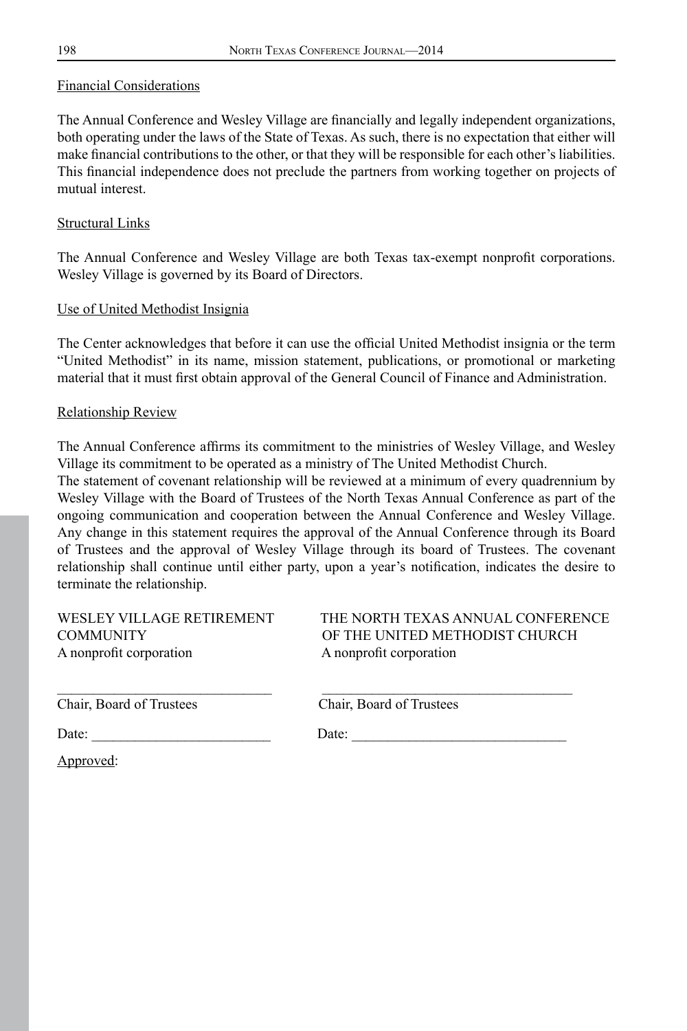#### Financial Considerations

The Annual Conference and Wesley Village are financially and legally independent organizations, both operating under the laws of the State of Texas. As such, there is no expectation that either will make financial contributions to the other, or that they will be responsible for each other's liabilities. This financial independence does not preclude the partners from working together on projects of mutual interest.

#### Structural Links

The Annual Conference and Wesley Village are both Texas tax-exempt nonprofit corporations. Wesley Village is governed by its Board of Directors.

#### Use of United Methodist Insignia

The Center acknowledges that before it can use the official United Methodist insignia or the term "United Methodist" in its name, mission statement, publications, or promotional or marketing material that it must first obtain approval of the General Council of Finance and Administration.

#### Relationship Review

The Annual Conference affirms its commitment to the ministries of Wesley Village, and Wesley Village its commitment to be operated as a ministry of The United Methodist Church.

The statement of covenant relationship will be reviewed at a minimum of every quadrennium by Wesley Village with the Board of Trustees of the North Texas Annual Conference as part of the ongoing communication and cooperation between the Annual Conference and Wesley Village. Any change in this statement requires the approval of the Annual Conference through its Board of Trustees and the approval of Wesley Village through its board of Trustees. The covenant relationship shall continue until either party, upon a year's notification, indicates the desire to terminate the relationship.

A nonprofit corporation A nonprofit corporation

WESLEY VILLAGE RETIREMENT THE NORTH TEXAS ANNUAL CONFERENCE COMMUNITY OF THE UNITED METHODIST CHURCH

Chair, Board of Trustees Chair, Board of Trustees

Date: \_\_\_\_\_\_\_\_\_\_\_\_\_\_\_\_\_\_\_\_\_\_\_\_\_ Date: \_\_\_\_\_\_\_\_\_\_\_\_\_\_\_\_\_\_\_\_\_\_\_\_\_\_\_\_\_\_

Approved: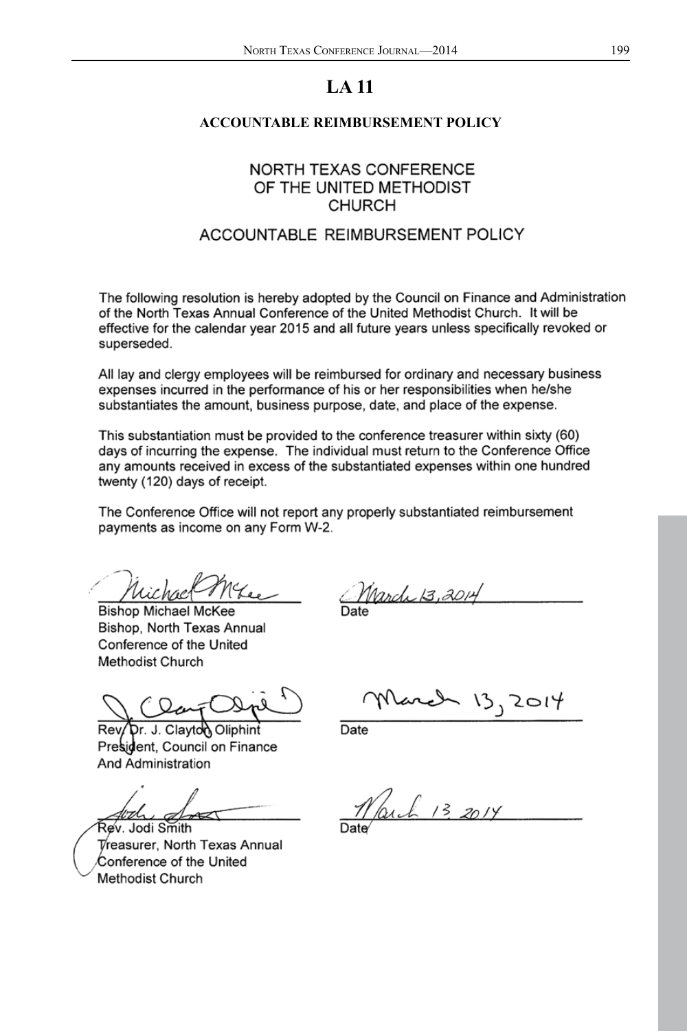#### **ACCOUNTABLE REIMBURSEMENT POLICY**

# **NORTH TEXAS CONFERENCE** OF THE UNITED METHODIST **CHURCH**

# ACCOUNTABLE REIMBURSEMENT POLICY

The following resolution is hereby adopted by the Council on Finance and Administration of the North Texas Annual Conference of the United Methodist Church. It will be effective for the calendar year 2015 and all future years unless specifically revoked or superseded.

All lay and clergy employees will be reimbursed for ordinary and necessary business expenses incurred in the performance of his or her responsibilities when he/she substantiates the amount, business purpose, date, and place of the expense.

This substantiation must be provided to the conference treasurer within sixty (60) days of incurring the expense. The individual must return to the Conference Office any amounts received in excess of the substantiated expenses within one hundred twenty (120) days of receipt.

The Conference Office will not report any properly substantiated reimbursement payments as income on any Form W-2.

**Bishop Michael McKee** Bishop, North Texas Annual Conference of the United Methodist Church

March 13,2014

วr. J. Clayton Oliphint์ President, Council on Finance **And Administration** 

Parch 13, 2014

March

Rev. Jodi Smith Treasurer. North Texas Annual Conference of the United Methodist Church

Date

 $\sim$  13, 2014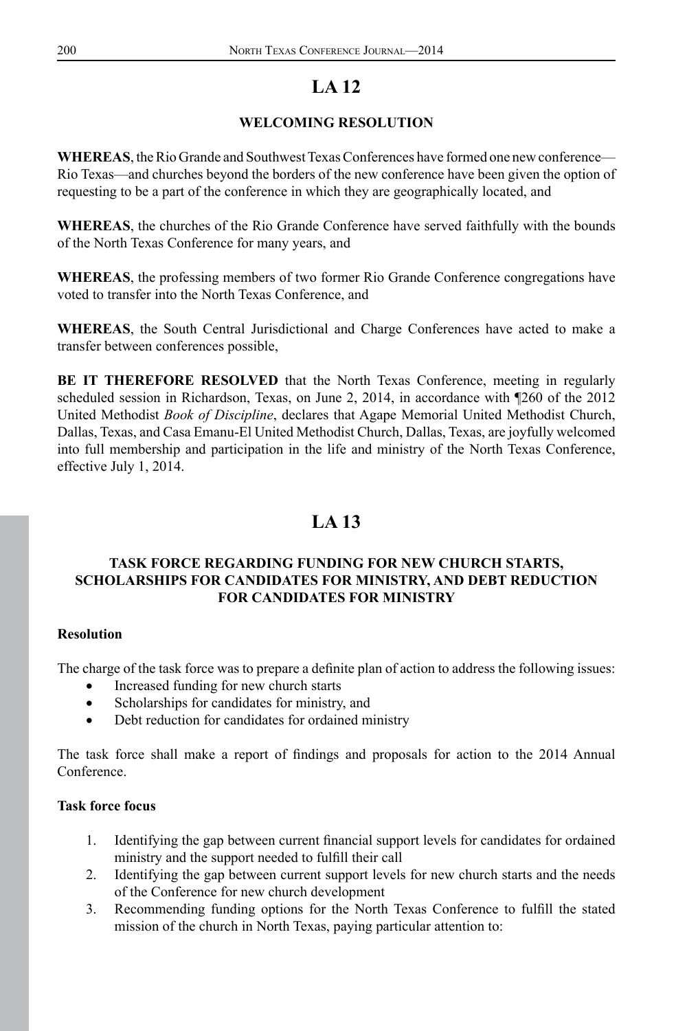# **WELCOMING RESOLUTION**

**WHEREAS**, the Rio Grande and Southwest Texas Conferences have formed one new conference— Rio Texas—and churches beyond the borders of the new conference have been given the option of requesting to be a part of the conference in which they are geographically located, and

**WHEREAS**, the churches of the Rio Grande Conference have served faithfully with the bounds of the North Texas Conference for many years, and

**WHEREAS**, the professing members of two former Rio Grande Conference congregations have voted to transfer into the North Texas Conference, and

**WHEREAS**, the South Central Jurisdictional and Charge Conferences have acted to make a transfer between conferences possible,

**BE IT THEREFORE RESOLVED** that the North Texas Conference, meeting in regularly scheduled session in Richardson, Texas, on June 2, 2014, in accordance with ¶260 of the 2012 United Methodist *Book of Discipline*, declares that Agape Memorial United Methodist Church, Dallas, Texas, and Casa Emanu-El United Methodist Church, Dallas, Texas, are joyfully welcomed into full membership and participation in the life and ministry of the North Texas Conference, effective July 1, 2014.

# **LA 13**

## **TASK FORCE REGARDING FUNDING FOR NEW CHURCH STARTS, SCHOLARSHIPS FOR CANDIDATES FOR MINISTRY, AND DEBT REDUCTION FOR CANDIDATES FOR MINISTRY**

## **Resolution**

The charge of the task force was to prepare a definite plan of action to address the following issues:

- Increased funding for new church starts
- Scholarships for candidates for ministry, and
- • Debt reduction for candidates for ordained ministry

The task force shall make a report of findings and proposals for action to the 2014 Annual Conference.

## **Task force focus**

- 1. Identifying the gap between current financial support levels for candidates for ordained ministry and the support needed to fulfill their call
- 2. Identifying the gap between current support levels for new church starts and the needs of the Conference for new church development
- 3. Recommending funding options for the North Texas Conference to fulfill the stated mission of the church in North Texas, paying particular attention to: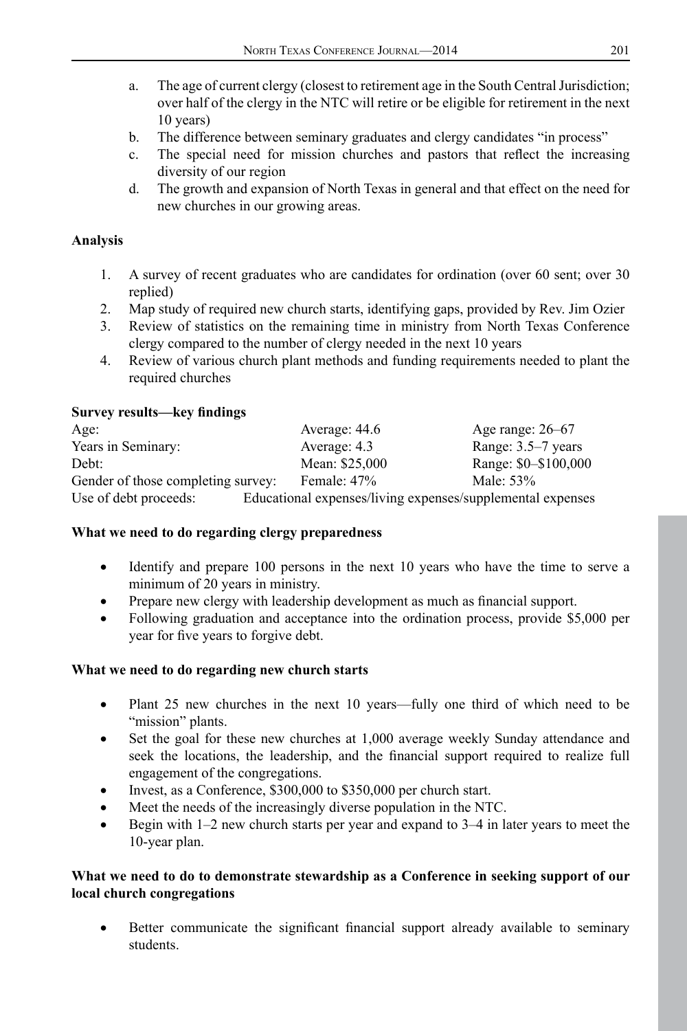- a. The age of current clergy (closest to retirement age in the South Central Jurisdiction; over half of the clergy in the NTC will retire or be eligible for retirement in the next 10 years)
- b. The difference between seminary graduates and clergy candidates "in process"
- c. The special need for mission churches and pastors that reflect the increasing diversity of our region
- d. The growth and expansion of North Texas in general and that effect on the need for new churches in our growing areas.

# **Analysis**

- 1. A survey of recent graduates who are candidates for ordination (over 60 sent; over 30 replied)
- 2. Map study of required new church starts, identifying gaps, provided by Rev. Jim Ozier
- 3. Review of statistics on the remaining time in ministry from North Texas Conference clergy compared to the number of clergy needed in the next 10 years
- 4. Review of various church plant methods and funding requirements needed to plant the required churches

## **Survey results—key findings**

| Age:                               | Average: 44.6                                              | Age range: $26-67$   |
|------------------------------------|------------------------------------------------------------|----------------------|
| Years in Seminary:                 | Average: 4.3                                               | Range: 3.5–7 years   |
| Debt:                              | Mean: \$25,000                                             | Range: \$0-\$100,000 |
| Gender of those completing survey: | Female: 47%                                                | Male: 53%            |
| Use of debt proceeds:              | Educational expenses/living expenses/supplemental expenses |                      |

## **What we need to do regarding clergy preparedness**

- Identify and prepare 100 persons in the next 10 years who have the time to serve a minimum of 20 years in ministry.
- Prepare new clergy with leadership development as much as financial support.
- Following graduation and acceptance into the ordination process, provide \$5,000 per year for five years to forgive debt.

## **What we need to do regarding new church starts**

- Plant 25 new churches in the next 10 years—fully one third of which need to be "mission" plants.
- Set the goal for these new churches at 1,000 average weekly Sunday attendance and seek the locations, the leadership, and the financial support required to realize full engagement of the congregations.
- Invest, as a Conference,  $$300,000$  to  $$350,000$  per church start.
- Meet the needs of the increasingly diverse population in the NTC.
- Begin with  $1-2$  new church starts per year and expand to  $3-4$  in later years to meet the 10-year plan.

#### **What we need to do to demonstrate stewardship as a Conference in seeking support of our local church congregations**

Better communicate the significant financial support already available to seminary students.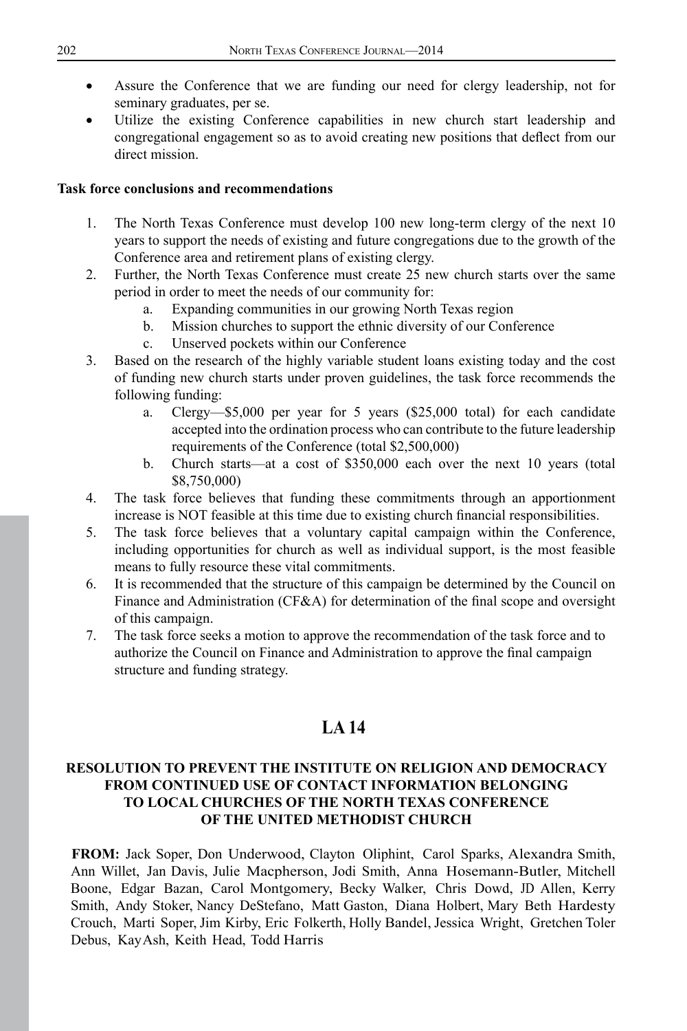- Assure the Conference that we are funding our need for clergy leadership, not for seminary graduates, per se.
- Utilize the existing Conference capabilities in new church start leadership and congregational engagement so as to avoid creating new positions that deflect from our direct mission.

#### **Task force conclusions and recommendations**

- 1. The North Texas Conference must develop 100 new long-term clergy of the next 10 years to support the needs of existing and future congregations due to the growth of the Conference area and retirement plans of existing clergy.
- 2. Further, the North Texas Conference must create 25 new church starts over the same period in order to meet the needs of our community for:
	- a. Expanding communities in our growing North Texas region
	- b. Mission churches to support the ethnic diversity of our Conference
	- c. Unserved pockets within our Conference
- 3. Based on the research of the highly variable student loans existing today and the cost of funding new church starts under proven guidelines, the task force recommends the following funding:
	- a. Clergy—\$5,000 per year for 5 years (\$25,000 total) for each candidate accepted into the ordination process who can contribute to the future leadership requirements of the Conference (total \$2,500,000)
	- b. Church starts—at a cost of \$350,000 each over the next 10 years (total \$8,750,000)
- 4. The task force believes that funding these commitments through an apportionment increase is NOT feasible at this time due to existing church financial responsibilities.
- 5. The task force believes that a voluntary capital campaign within the Conference, including opportunities for church as well as individual support, is the most feasible means to fully resource these vital commitments.
- 6. It is recommended that the structure of this campaign be determined by the Council on Finance and Administration (CF&A) for determination of the final scope and oversight of this campaign.
- 7. The task force seeks a motion to approve the recommendation of the task force and to authorize the Council on Finance and Administration to approve the final campaign structure and funding strategy.

# **LA 14**

## **RESOLUTION TO PREVENT THE INSTITUTE ON RELIGION AND DEMOCRACY FROM CONTINUED USE OF CONTACT INFORMATION BELONGING TO LOCAL CHURCHES OF THE NORTH TEXAS CONFERENCE OF THE UNITED METHODIST CHURCH**

**FROM:** Jack Soper, Don Underwood, Clayton Oliphint, Carol Sparks, Alexandra Smith, Ann Willet, Jan Davis, Julie Macpherson, Jodi Smith, Anna Hosemann-Butler, Mitchell Boone, Edgar Bazan, Carol Montgomery, Becky Walker, Chris Dowd, JD Allen, Kerry Smith, Andy Stoker, Nancy DeStefano, Matt Gaston, Diana Holbert, Mary Beth Hardesty Crouch, Marti Soper, Jim Kirby, Eric Folkerth, Holly Bandel, Jessica Wright, Gretchen Toler Debus, KayAsh, Keith Head, Todd Harris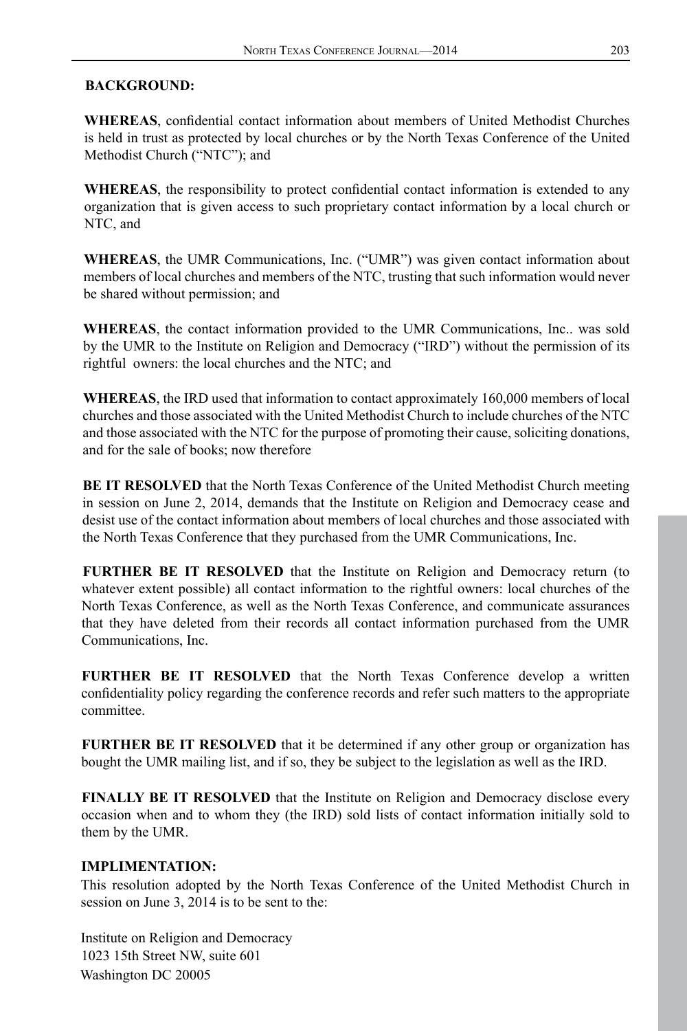# **BACKGROUND:**

**WHEREAS**, confidential contact information about members of United Methodist Churches is held in trust as protected by local churches or by the North Texas Conference of the United Methodist Church ("NTC"); and

**WHEREAS**, the responsibility to protect confidential contact information is extended to any organization that is given access to such proprietary contact information by a local church or NTC, and

**WHEREAS**, the UMR Communications, Inc. ("UMR") was given contact information about members of local churches and members of the NTC, trusting that such information would never be shared without permission; and

**WHEREAS**, the contact information provided to the UMR Communications, Inc.. was sold by the UMR to the Institute on Religion and Democracy ("IRD") without the permission of its rightful owners: the local churches and the NTC; and

**WHEREAS**, the IRD used that information to contact approximately 160,000 members of local churches and those associated with the United Methodist Church to include churches of the NTC and those associated with the NTC for the purpose of promoting their cause, soliciting donations, and for the sale of books; now therefore

**BE IT RESOLVED** that the North Texas Conference of the United Methodist Church meeting in session on June 2, 2014, demands that the Institute on Religion and Democracy cease and desist use of the contact information about members of local churches and those associated with the North Texas Conference that they purchased from the UMR Communications, Inc.

**FURTHER BE IT RESOLVED** that the Institute on Religion and Democracy return (to whatever extent possible) all contact information to the rightful owners: local churches of the North Texas Conference, as well as the North Texas Conference, and communicate assurances that they have deleted from their records all contact information purchased from the UMR Communications, Inc.

**FURTHER BE IT RESOLVED** that the North Texas Conference develop a written confidentiality policy regarding the conference records and refer such matters to the appropriate committee.

**FURTHER BE IT RESOLVED** that it be determined if any other group or organization has bought the UMR mailing list, and if so, they be subject to the legislation as well as the IRD.

**FINALLY BE IT RESOLVED** that the Institute on Religion and Democracy disclose every occasion when and to whom they (the IRD) sold lists of contact information initially sold to them by the UMR.

## **IMPLIMENTATION:**

This resolution adopted by the North Texas Conference of the United Methodist Church in session on June 3, 2014 is to be sent to the:

Institute on Religion and Democracy 1023 15th Street NW, suite 601 Washington DC 20005